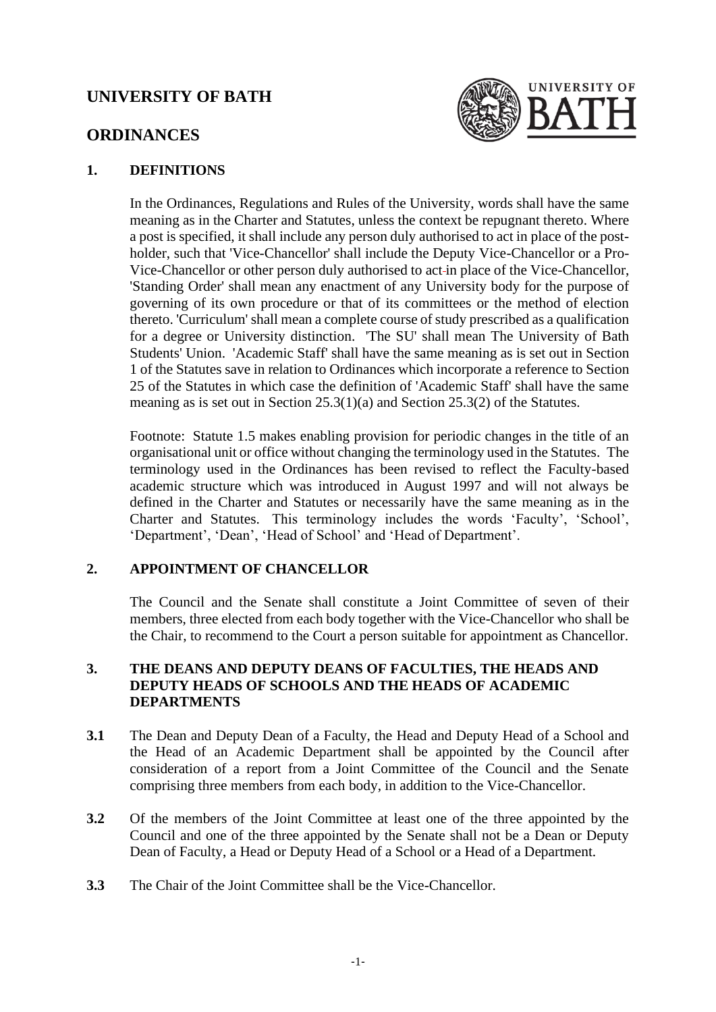# **UNIVERSITY OF BATH**



# **ORDINANCES**

### **1. DEFINITIONS**

In the Ordinances, Regulations and Rules of the University, words shall have the same meaning as in the Charter and Statutes, unless the context be repugnant thereto. Where a post is specified, it shall include any person duly authorised to act in place of the postholder, such that 'Vice-Chancellor' shall include the Deputy Vice-Chancellor or a Pro-Vice-Chancellor or other person duly authorised to act-in place of the Vice-Chancellor, 'Standing Order' shall mean any enactment of any University body for the purpose of governing of its own procedure or that of its committees or the method of election thereto. 'Curriculum' shall mean a complete course of study prescribed as a qualification for a degree or University distinction. 'The SU' shall mean The University of Bath Students' Union. 'Academic Staff' shall have the same meaning as is set out in Section 1 of the Statutes save in relation to Ordinances which incorporate a reference to Section 25 of the Statutes in which case the definition of 'Academic Staff' shall have the same meaning as is set out in Section 25.3(1)(a) and Section 25.3(2) of the Statutes.

Footnote: Statute 1.5 makes enabling provision for periodic changes in the title of an organisational unit or office without changing the terminology used in the Statutes. The terminology used in the Ordinances has been revised to reflect the Faculty-based academic structure which was introduced in August 1997 and will not always be defined in the Charter and Statutes or necessarily have the same meaning as in the Charter and Statutes. This terminology includes the words 'Faculty', 'School', 'Department', 'Dean', 'Head of School' and 'Head of Department'.

# **2. APPOINTMENT OF CHANCELLOR**

The Council and the Senate shall constitute a Joint Committee of seven of their members, three elected from each body together with the Vice-Chancellor who shall be the Chair, to recommend to the Court a person suitable for appointment as Chancellor.

### **3. THE DEANS AND DEPUTY DEANS OF FACULTIES, THE HEADS AND DEPUTY HEADS OF SCHOOLS AND THE HEADS OF ACADEMIC DEPARTMENTS**

- **3.1** The Dean and Deputy Dean of a Faculty, the Head and Deputy Head of a School and the Head of an Academic Department shall be appointed by the Council after consideration of a report from a Joint Committee of the Council and the Senate comprising three members from each body, in addition to the Vice-Chancellor.
- **3.2** Of the members of the Joint Committee at least one of the three appointed by the Council and one of the three appointed by the Senate shall not be a Dean or Deputy Dean of Faculty, a Head or Deputy Head of a School or a Head of a Department.
- **3.3** The Chair of the Joint Committee shall be the Vice-Chancellor.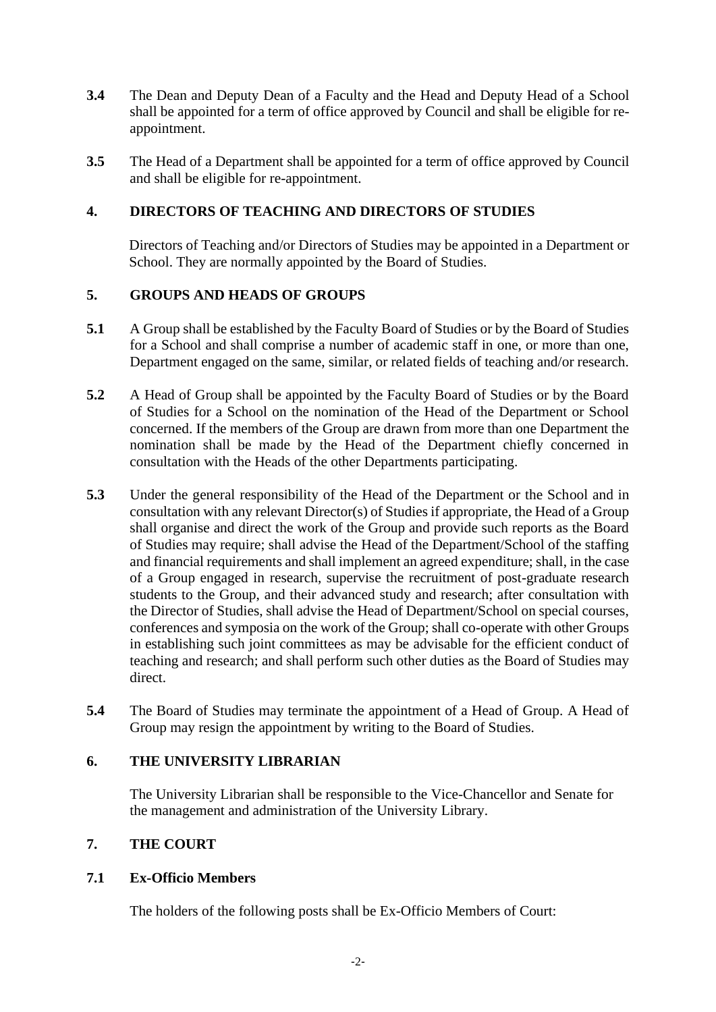- **3.4** The Dean and Deputy Dean of a Faculty and the Head and Deputy Head of a School shall be appointed for a term of office approved by Council and shall be eligible for reappointment.
- **3.5** The Head of a Department shall be appointed for a term of office approved by Council and shall be eligible for re-appointment.

# **4. DIRECTORS OF TEACHING AND DIRECTORS OF STUDIES**

Directors of Teaching and/or Directors of Studies may be appointed in a Department or School. They are normally appointed by the Board of Studies.

# **5. GROUPS AND HEADS OF GROUPS**

- **5.1** A Group shall be established by the Faculty Board of Studies or by the Board of Studies for a School and shall comprise a number of academic staff in one, or more than one, Department engaged on the same, similar, or related fields of teaching and/or research.
- **5.2** A Head of Group shall be appointed by the Faculty Board of Studies or by the Board of Studies for a School on the nomination of the Head of the Department or School concerned. If the members of the Group are drawn from more than one Department the nomination shall be made by the Head of the Department chiefly concerned in consultation with the Heads of the other Departments participating.
- **5.3** Under the general responsibility of the Head of the Department or the School and in consultation with any relevant Director(s) of Studies if appropriate, the Head of a Group shall organise and direct the work of the Group and provide such reports as the Board of Studies may require; shall advise the Head of the Department/School of the staffing and financial requirements and shall implement an agreed expenditure; shall, in the case of a Group engaged in research, supervise the recruitment of post-graduate research students to the Group, and their advanced study and research; after consultation with the Director of Studies, shall advise the Head of Department/School on special courses, conferences and symposia on the work of the Group; shall co-operate with other Groups in establishing such joint committees as may be advisable for the efficient conduct of teaching and research; and shall perform such other duties as the Board of Studies may direct.
- **5.4** The Board of Studies may terminate the appointment of a Head of Group. A Head of Group may resign the appointment by writing to the Board of Studies.

# **6. THE UNIVERSITY LIBRARIAN**

The University Librarian shall be responsible to the Vice-Chancellor and Senate for the management and administration of the University Library.

# **7. THE COURT**

# **7.1 Ex-Officio Members**

The holders of the following posts shall be Ex-Officio Members of Court: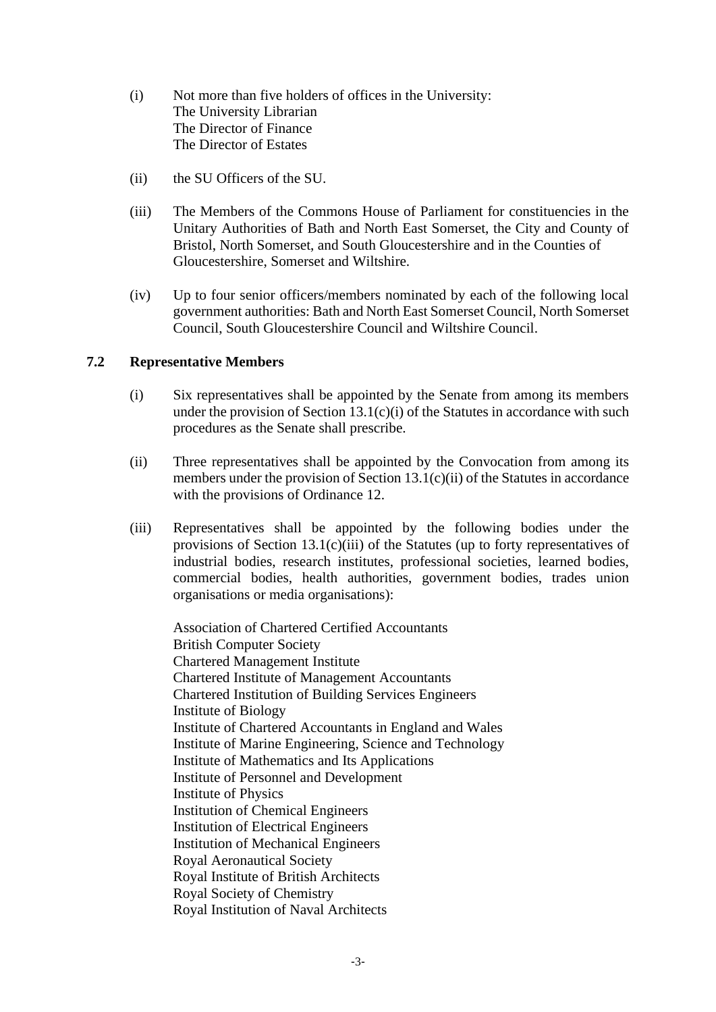- (i) Not more than five holders of offices in the University: The University Librarian The Director of Finance The Director of Estates
- (ii) the SU Officers of the SU.
- (iii) The Members of the Commons House of Parliament for constituencies in the Unitary Authorities of Bath and North East Somerset, the City and County of Bristol, North Somerset, and South Gloucestershire and in the Counties of Gloucestershire, Somerset and Wiltshire.
- (iv) Up to four senior officers/members nominated by each of the following local government authorities: Bath and North East Somerset Council, North Somerset Council, South Gloucestershire Council and Wiltshire Council.

#### **7.2 Representative Members**

- (i) Six representatives shall be appointed by the Senate from among its members under the provision of Section  $13.1(c)(i)$  of the Statutes in accordance with such procedures as the Senate shall prescribe.
- (ii) Three representatives shall be appointed by the Convocation from among its members under the provision of Section 13.1(c)(ii) of the Statutes in accordance with the provisions of Ordinance 12.
- (iii) Representatives shall be appointed by the following bodies under the provisions of Section 13.1(c)(iii) of the Statutes (up to forty representatives of industrial bodies, research institutes, professional societies, learned bodies, commercial bodies, health authorities, government bodies, trades union organisations or media organisations):

Association of Chartered Certified Accountants British Computer Society Chartered Management Institute Chartered Institute of Management Accountants Chartered Institution of Building Services Engineers Institute of Biology Institute of Chartered Accountants in England and Wales Institute of Marine Engineering, Science and Technology Institute of Mathematics and Its Applications Institute of Personnel and Development Institute of Physics Institution of Chemical Engineers Institution of Electrical Engineers Institution of Mechanical Engineers Royal Aeronautical Society Royal Institute of British Architects Royal Society of Chemistry Royal Institution of Naval Architects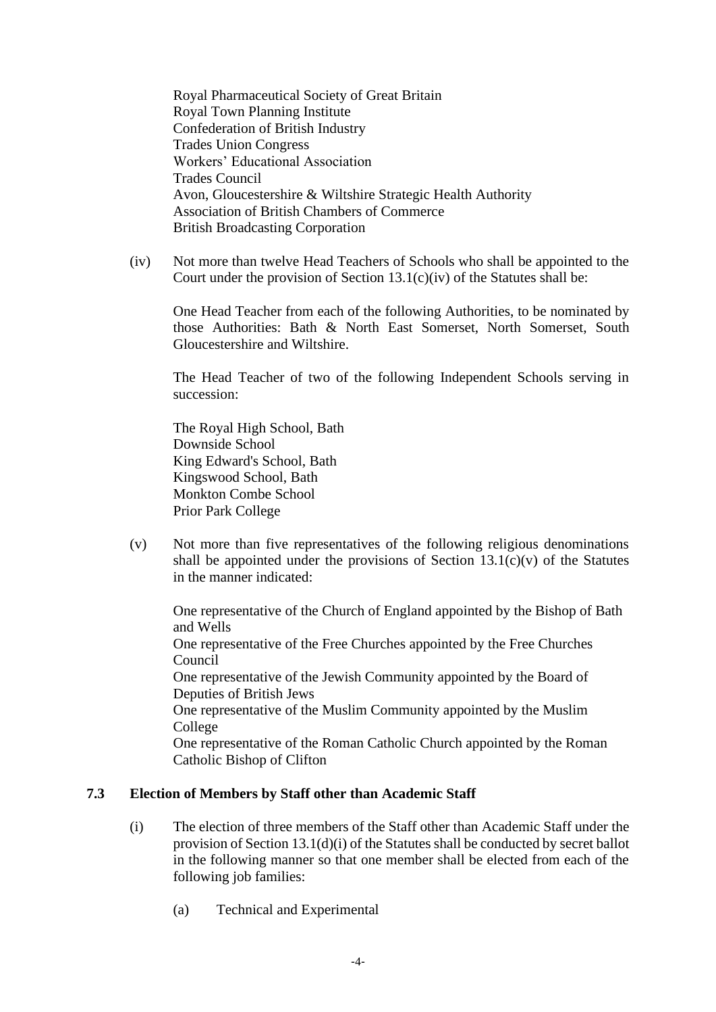Royal Pharmaceutical Society of Great Britain Royal Town Planning Institute Confederation of British Industry Trades Union Congress Workers' Educational Association Trades Council Avon, Gloucestershire & Wiltshire Strategic Health Authority Association of British Chambers of Commerce British Broadcasting Corporation

(iv) Not more than twelve Head Teachers of Schools who shall be appointed to the Court under the provision of Section  $13.1(c)(iv)$  of the Statutes shall be:

One Head Teacher from each of the following Authorities, to be nominated by those Authorities: Bath & North East Somerset, North Somerset, South Gloucestershire and Wiltshire.

The Head Teacher of two of the following Independent Schools serving in succession:

The Royal High School, Bath Downside School King Edward's School, Bath Kingswood School, Bath Monkton Combe School Prior Park College

(v) Not more than five representatives of the following religious denominations shall be appointed under the provisions of Section  $13.1(c)(v)$  of the Statutes in the manner indicated:

One representative of the Church of England appointed by the Bishop of Bath and Wells

One representative of the Free Churches appointed by the Free Churches Council

One representative of the Jewish Community appointed by the Board of Deputies of British Jews

One representative of the Muslim Community appointed by the Muslim College

One representative of the Roman Catholic Church appointed by the Roman Catholic Bishop of Clifton

#### **7.3 Election of Members by Staff other than Academic Staff**

- (i) The election of three members of the Staff other than Academic Staff under the provision of Section 13.1(d)(i) of the Statutes shall be conducted by secret ballot in the following manner so that one member shall be elected from each of the following job families:
	- (a) Technical and Experimental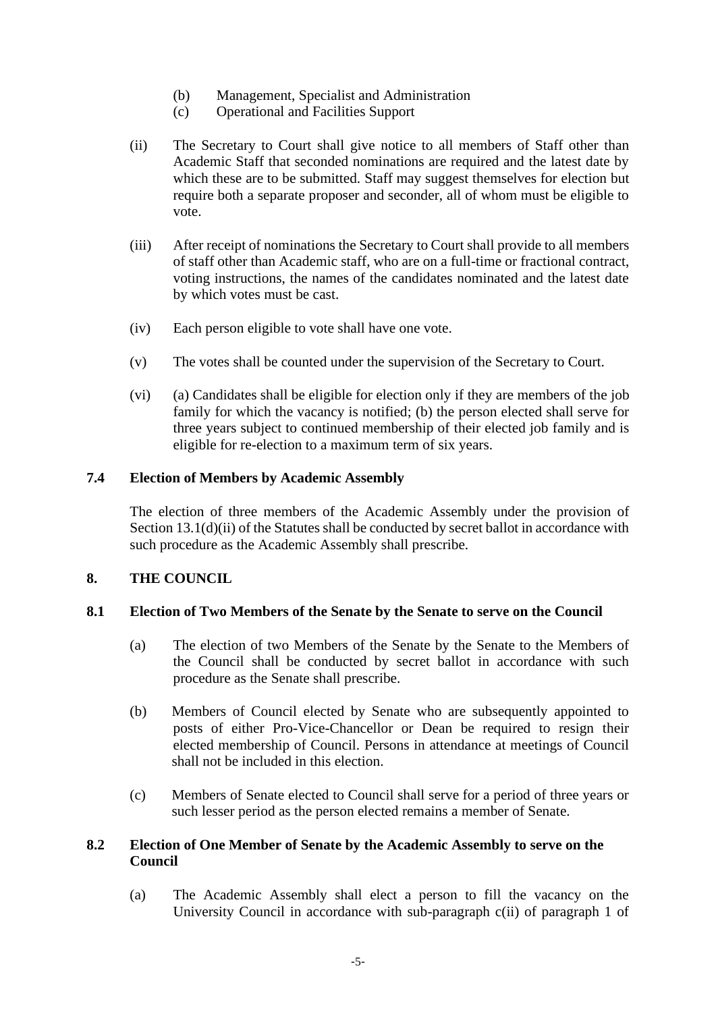- (b) Management, Specialist and Administration
- (c) Operational and Facilities Support
- (ii) The Secretary to Court shall give notice to all members of Staff other than Academic Staff that seconded nominations are required and the latest date by which these are to be submitted. Staff may suggest themselves for election but require both a separate proposer and seconder, all of whom must be eligible to vote.
- (iii) After receipt of nominations the Secretary to Court shall provide to all members of staff other than Academic staff, who are on a full-time or fractional contract, voting instructions, the names of the candidates nominated and the latest date by which votes must be cast.
- (iv) Each person eligible to vote shall have one vote.
- (v) The votes shall be counted under the supervision of the Secretary to Court.
- (vi) (a) Candidates shall be eligible for election only if they are members of the job family for which the vacancy is notified; (b) the person elected shall serve for three years subject to continued membership of their elected job family and is eligible for re-election to a maximum term of six years.

### **7.4 Election of Members by Academic Assembly**

The election of three members of the Academic Assembly under the provision of Section 13.1(d)(ii) of the Statutes shall be conducted by secret ballot in accordance with such procedure as the Academic Assembly shall prescribe.

#### **8. THE COUNCIL**

#### **8.1 Election of Two Members of the Senate by the Senate to serve on the Council**

- (a) The election of two Members of the Senate by the Senate to the Members of the Council shall be conducted by secret ballot in accordance with such procedure as the Senate shall prescribe.
- (b) Members of Council elected by Senate who are subsequently appointed to posts of either Pro-Vice-Chancellor or Dean be required to resign their elected membership of Council. Persons in attendance at meetings of Council shall not be included in this election.
- (c) Members of Senate elected to Council shall serve for a period of three years or such lesser period as the person elected remains a member of Senate.

#### **8.2 Election of One Member of Senate by the Academic Assembly to serve on the Council**

(a) The Academic Assembly shall elect a person to fill the vacancy on the University Council in accordance with sub-paragraph c(ii) of paragraph 1 of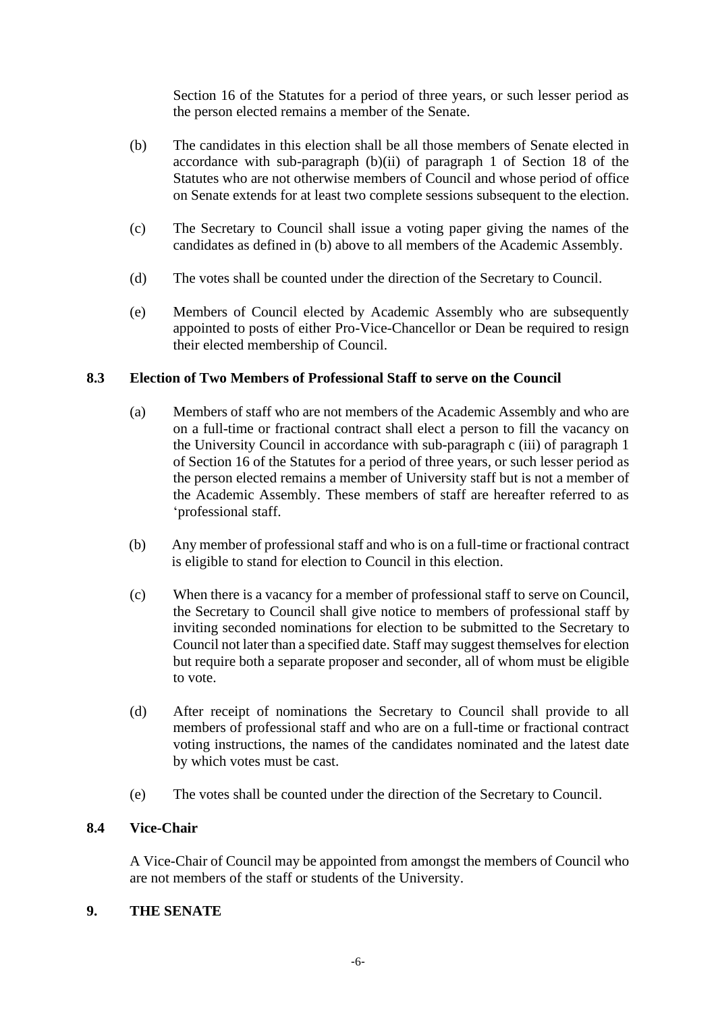Section 16 of the Statutes for a period of three years, or such lesser period as the person elected remains a member of the Senate.

- (b) The candidates in this election shall be all those members of Senate elected in accordance with sub-paragraph (b)(ii) of paragraph 1 of Section 18 of the Statutes who are not otherwise members of Council and whose period of office on Senate extends for at least two complete sessions subsequent to the election.
- (c) The Secretary to Council shall issue a voting paper giving the names of the candidates as defined in (b) above to all members of the Academic Assembly.
- (d) The votes shall be counted under the direction of the Secretary to Council.
- (e) Members of Council elected by Academic Assembly who are subsequently appointed to posts of either Pro-Vice-Chancellor or Dean be required to resign their elected membership of Council.

# **8.3 Election of Two Members of Professional Staff to serve on the Council**

- (a) Members of staff who are not members of the Academic Assembly and who are on a full-time or fractional contract shall elect a person to fill the vacancy on the University Council in accordance with sub-paragraph c (iii) of paragraph 1 of Section 16 of the Statutes for a period of three years, or such lesser period as the person elected remains a member of University staff but is not a member of the Academic Assembly. These members of staff are hereafter referred to as 'professional staff.
- (b) Any member of professional staff and who is on a full-time or fractional contract is eligible to stand for election to Council in this election.
- (c) When there is a vacancy for a member of professional staff to serve on Council, the Secretary to Council shall give notice to members of professional staff by inviting seconded nominations for election to be submitted to the Secretary to Council not later than a specified date. Staff may suggest themselves for election but require both a separate proposer and seconder, all of whom must be eligible to vote.
- (d) After receipt of nominations the Secretary to Council shall provide to all members of professional staff and who are on a full-time or fractional contract voting instructions, the names of the candidates nominated and the latest date by which votes must be cast.
- (e) The votes shall be counted under the direction of the Secretary to Council.

### **8.4 Vice-Chair**

A Vice-Chair of Council may be appointed from amongst the members of Council who are not members of the staff or students of the University.

#### **9. THE SENATE**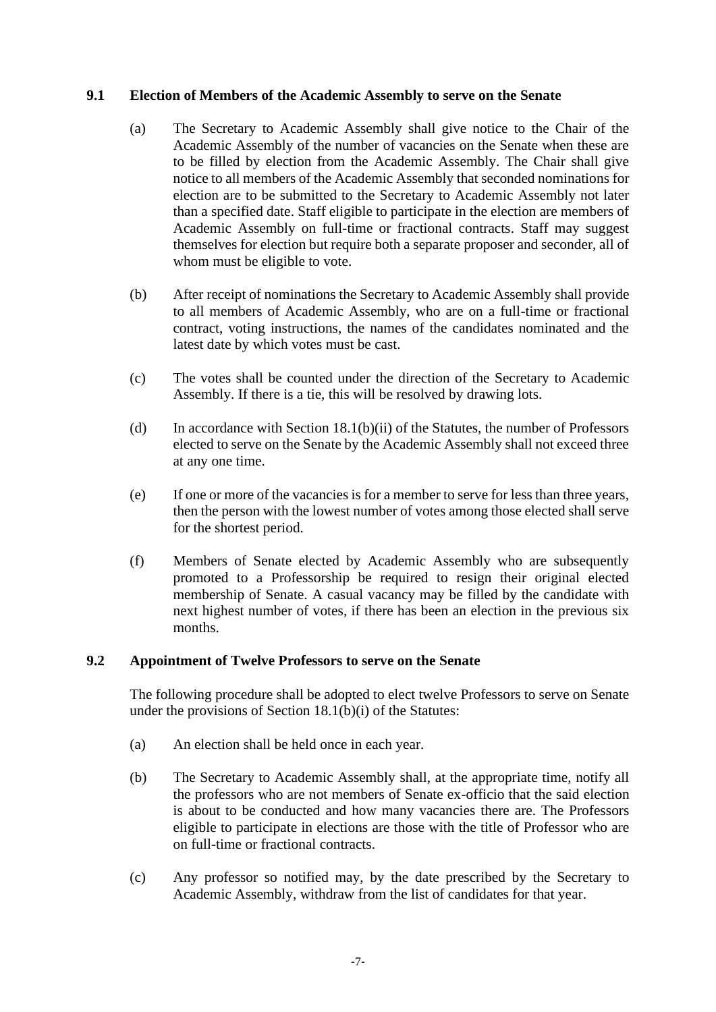### **9.1 Election of Members of the Academic Assembly to serve on the Senate**

- (a) The Secretary to Academic Assembly shall give notice to the Chair of the Academic Assembly of the number of vacancies on the Senate when these are to be filled by election from the Academic Assembly. The Chair shall give notice to all members of the Academic Assembly that seconded nominations for election are to be submitted to the Secretary to Academic Assembly not later than a specified date. Staff eligible to participate in the election are members of Academic Assembly on full-time or fractional contracts. Staff may suggest themselves for election but require both a separate proposer and seconder, all of whom must be eligible to vote.
- (b) After receipt of nominations the Secretary to Academic Assembly shall provide to all members of Academic Assembly, who are on a full-time or fractional contract, voting instructions, the names of the candidates nominated and the latest date by which votes must be cast.
- (c) The votes shall be counted under the direction of the Secretary to Academic Assembly. If there is a tie, this will be resolved by drawing lots.
- (d) In accordance with Section 18.1(b)(ii) of the Statutes, the number of Professors elected to serve on the Senate by the Academic Assembly shall not exceed three at any one time.
- (e) If one or more of the vacancies is for a member to serve for less than three years, then the person with the lowest number of votes among those elected shall serve for the shortest period.
- (f) Members of Senate elected by Academic Assembly who are subsequently promoted to a Professorship be required to resign their original elected membership of Senate. A casual vacancy may be filled by the candidate with next highest number of votes, if there has been an election in the previous six months.

#### **9.2 Appointment of Twelve Professors to serve on the Senate**

The following procedure shall be adopted to elect twelve Professors to serve on Senate under the provisions of Section 18.1(b)(i) of the Statutes:

- (a) An election shall be held once in each year.
- (b) The Secretary to Academic Assembly shall, at the appropriate time, notify all the professors who are not members of Senate ex-officio that the said election is about to be conducted and how many vacancies there are. The Professors eligible to participate in elections are those with the title of Professor who are on full-time or fractional contracts.
- (c) Any professor so notified may, by the date prescribed by the Secretary to Academic Assembly, withdraw from the list of candidates for that year.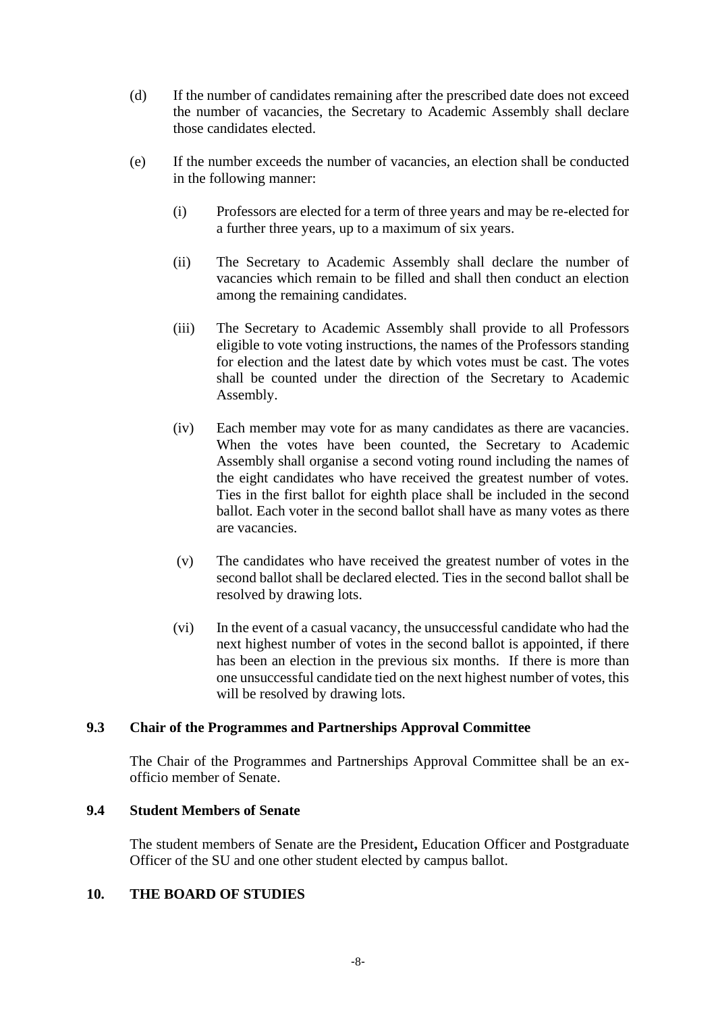- (d) If the number of candidates remaining after the prescribed date does not exceed the number of vacancies, the Secretary to Academic Assembly shall declare those candidates elected.
- (e) If the number exceeds the number of vacancies, an election shall be conducted in the following manner:
	- (i) Professors are elected for a term of three years and may be re-elected for a further three years, up to a maximum of six years.
	- (ii) The Secretary to Academic Assembly shall declare the number of vacancies which remain to be filled and shall then conduct an election among the remaining candidates.
	- (iii) The Secretary to Academic Assembly shall provide to all Professors eligible to vote voting instructions, the names of the Professors standing for election and the latest date by which votes must be cast. The votes shall be counted under the direction of the Secretary to Academic Assembly.
	- (iv) Each member may vote for as many candidates as there are vacancies. When the votes have been counted, the Secretary to Academic Assembly shall organise a second voting round including the names of the eight candidates who have received the greatest number of votes. Ties in the first ballot for eighth place shall be included in the second ballot. Each voter in the second ballot shall have as many votes as there are vacancies.
	- (v) The candidates who have received the greatest number of votes in the second ballot shall be declared elected. Ties in the second ballot shall be resolved by drawing lots.
	- (vi) In the event of a casual vacancy, the unsuccessful candidate who had the next highest number of votes in the second ballot is appointed, if there has been an election in the previous six months. If there is more than one unsuccessful candidate tied on the next highest number of votes, this will be resolved by drawing lots.

#### **9.3 Chair of the Programmes and Partnerships Approval Committee**

The Chair of the Programmes and Partnerships Approval Committee shall be an exofficio member of Senate.

#### **9.4 Student Members of Senate**

The student members of Senate are the President**,** Education Officer and Postgraduate Officer of the SU and one other student elected by campus ballot.

# **10. THE BOARD OF STUDIES**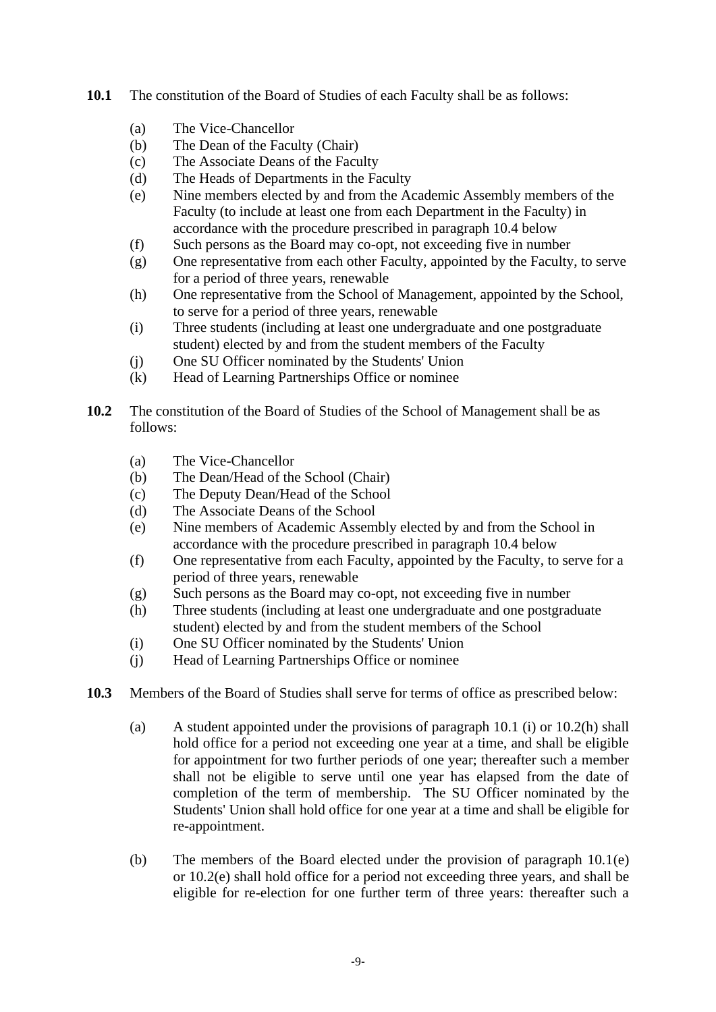- **10.1** The constitution of the Board of Studies of each Faculty shall be as follows:
	- (a) The Vice-Chancellor
	- (b) The Dean of the Faculty (Chair)
	- (c) The Associate Deans of the Faculty
	- (d) The Heads of Departments in the Faculty
	- (e) Nine members elected by and from the Academic Assembly members of the Faculty (to include at least one from each Department in the Faculty) in accordance with the procedure prescribed in paragraph 10.4 below
	- (f) Such persons as the Board may co-opt, not exceeding five in number
	- (g) One representative from each other Faculty, appointed by the Faculty, to serve for a period of three years, renewable
	- (h) One representative from the School of Management, appointed by the School, to serve for a period of three years, renewable
	- (i) Three students (including at least one undergraduate and one postgraduate student) elected by and from the student members of the Faculty
	- (j) One SU Officer nominated by the Students' Union
	- (k) Head of Learning Partnerships Office or nominee
- **10.2** The constitution of the Board of Studies of the School of Management shall be as follows:
	- (a) The Vice-Chancellor
	- (b) The Dean/Head of the School (Chair)
	- (c) The Deputy Dean/Head of the School
	- (d) The Associate Deans of the School
	- (e) Nine members of Academic Assembly elected by and from the School in accordance with the procedure prescribed in paragraph 10.4 below
	- (f) One representative from each Faculty, appointed by the Faculty, to serve for a period of three years, renewable
	- (g) Such persons as the Board may co-opt, not exceeding five in number
	- (h) Three students (including at least one undergraduate and one postgraduate student) elected by and from the student members of the School
	- (i) One SU Officer nominated by the Students' Union
	- (j) Head of Learning Partnerships Office or nominee
- **10.3** Members of the Board of Studies shall serve for terms of office as prescribed below:
	- (a) A student appointed under the provisions of paragraph 10.1 (i) or 10.2(h) shall hold office for a period not exceeding one year at a time, and shall be eligible for appointment for two further periods of one year; thereafter such a member shall not be eligible to serve until one year has elapsed from the date of completion of the term of membership. The SU Officer nominated by the Students' Union shall hold office for one year at a time and shall be eligible for re-appointment.
	- (b) The members of the Board elected under the provision of paragraph 10.1(e) or 10.2(e) shall hold office for a period not exceeding three years, and shall be eligible for re-election for one further term of three years: thereafter such a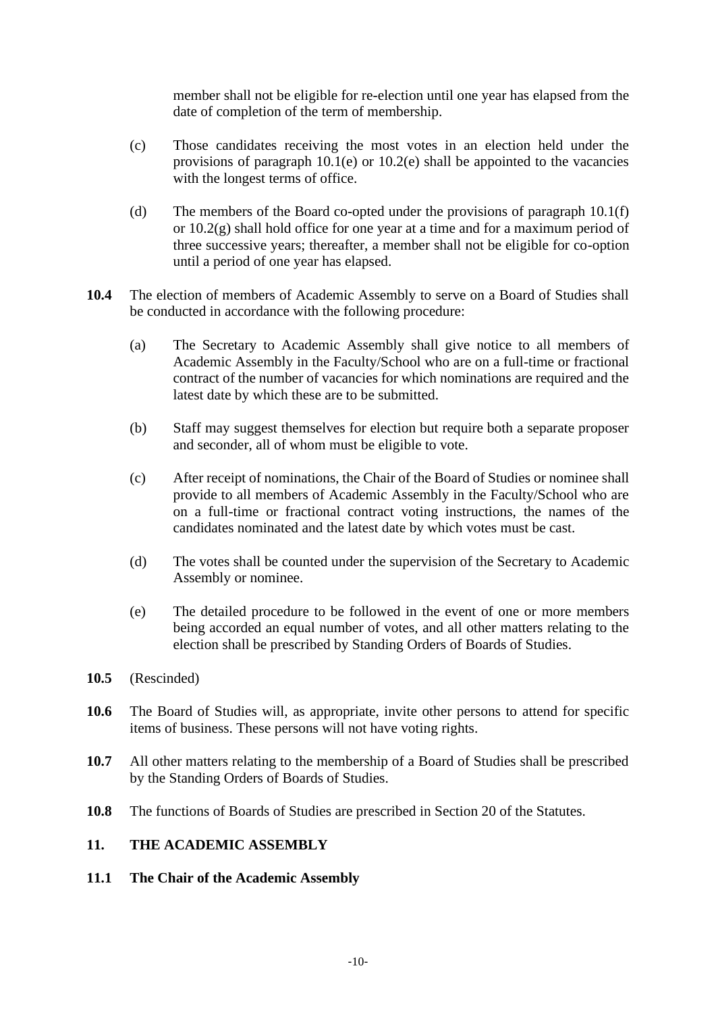member shall not be eligible for re-election until one year has elapsed from the date of completion of the term of membership.

- (c) Those candidates receiving the most votes in an election held under the provisions of paragraph  $10.1(e)$  or  $10.2(e)$  shall be appointed to the vacancies with the longest terms of office.
- (d) The members of the Board co-opted under the provisions of paragraph 10.1(f) or 10.2(g) shall hold office for one year at a time and for a maximum period of three successive years; thereafter, a member shall not be eligible for co-option until a period of one year has elapsed.
- **10.4** The election of members of Academic Assembly to serve on a Board of Studies shall be conducted in accordance with the following procedure:
	- (a) The Secretary to Academic Assembly shall give notice to all members of Academic Assembly in the Faculty/School who are on a full-time or fractional contract of the number of vacancies for which nominations are required and the latest date by which these are to be submitted.
	- (b) Staff may suggest themselves for election but require both a separate proposer and seconder, all of whom must be eligible to vote.
	- (c) After receipt of nominations, the Chair of the Board of Studies or nominee shall provide to all members of Academic Assembly in the Faculty/School who are on a full-time or fractional contract voting instructions, the names of the candidates nominated and the latest date by which votes must be cast.
	- (d) The votes shall be counted under the supervision of the Secretary to Academic Assembly or nominee.
	- (e) The detailed procedure to be followed in the event of one or more members being accorded an equal number of votes, and all other matters relating to the election shall be prescribed by Standing Orders of Boards of Studies.
- **10.5** (Rescinded)
- **10.6** The Board of Studies will, as appropriate, invite other persons to attend for specific items of business. These persons will not have voting rights.
- **10.7** All other matters relating to the membership of a Board of Studies shall be prescribed by the Standing Orders of Boards of Studies.
- **10.8** The functions of Boards of Studies are prescribed in Section 20 of the Statutes.

### **11. THE ACADEMIC ASSEMBLY**

**11.1 The Chair of the Academic Assembly**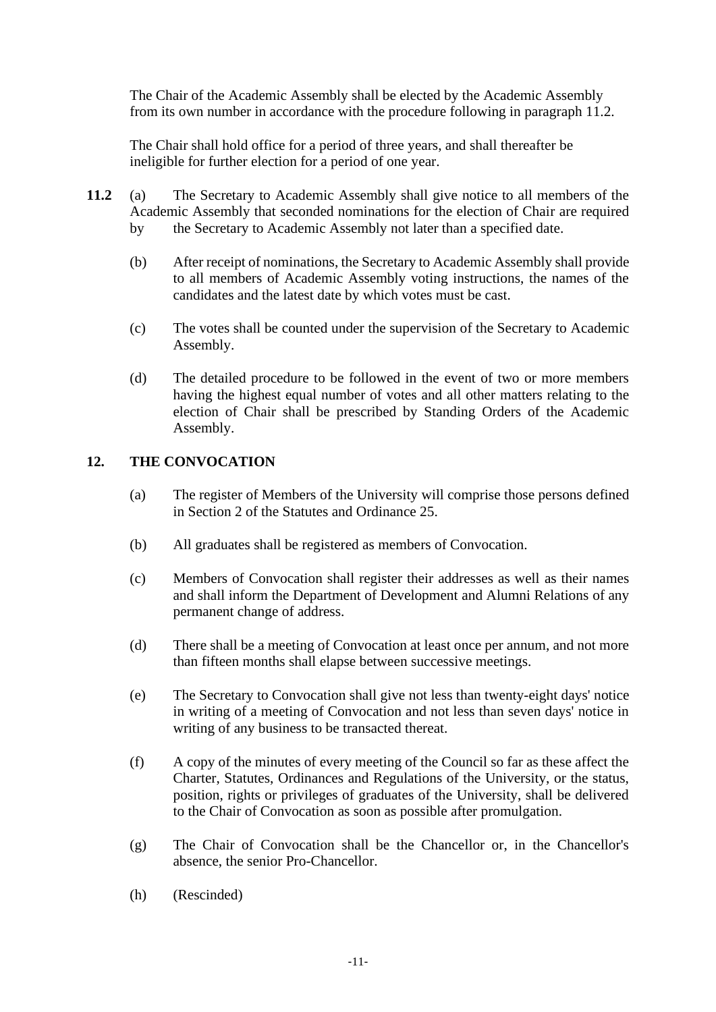The Chair of the Academic Assembly shall be elected by the Academic Assembly from its own number in accordance with the procedure following in paragraph 11.2.

The Chair shall hold office for a period of three years, and shall thereafter be ineligible for further election for a period of one year.

- **11.2** (a) The Secretary to Academic Assembly shall give notice to all members of the Academic Assembly that seconded nominations for the election of Chair are required by the Secretary to Academic Assembly not later than a specified date.
	- (b) After receipt of nominations, the Secretary to Academic Assembly shall provide to all members of Academic Assembly voting instructions, the names of the candidates and the latest date by which votes must be cast.
	- (c) The votes shall be counted under the supervision of the Secretary to Academic Assembly.
	- (d) The detailed procedure to be followed in the event of two or more members having the highest equal number of votes and all other matters relating to the election of Chair shall be prescribed by Standing Orders of the Academic Assembly.

### **12. THE CONVOCATION**

- (a) The register of Members of the University will comprise those persons defined in Section 2 of the Statutes and Ordinance 25.
- (b) All graduates shall be registered as members of Convocation.
- (c) Members of Convocation shall register their addresses as well as their names and shall inform the Department of Development and Alumni Relations of any permanent change of address.
- (d) There shall be a meeting of Convocation at least once per annum, and not more than fifteen months shall elapse between successive meetings.
- (e) The Secretary to Convocation shall give not less than twenty-eight days' notice in writing of a meeting of Convocation and not less than seven days' notice in writing of any business to be transacted thereat.
- (f) A copy of the minutes of every meeting of the Council so far as these affect the Charter, Statutes, Ordinances and Regulations of the University, or the status, position, rights or privileges of graduates of the University, shall be delivered to the Chair of Convocation as soon as possible after promulgation.
- (g) The Chair of Convocation shall be the Chancellor or, in the Chancellor's absence, the senior Pro-Chancellor.
- (h) (Rescinded)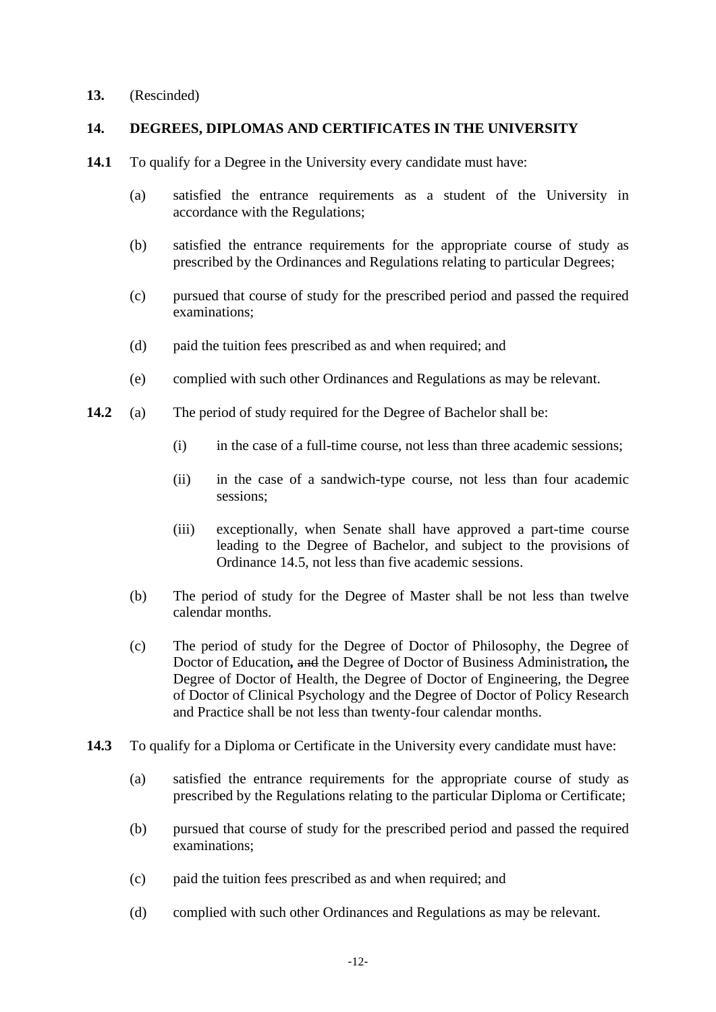### **13.** (Rescinded)

### **14. DEGREES, DIPLOMAS AND CERTIFICATES IN THE UNIVERSITY**

- **14.1** To qualify for a Degree in the University every candidate must have:
	- (a) satisfied the entrance requirements as a student of the University in accordance with the Regulations;
	- (b) satisfied the entrance requirements for the appropriate course of study as prescribed by the Ordinances and Regulations relating to particular Degrees;
	- (c) pursued that course of study for the prescribed period and passed the required examinations;
	- (d) paid the tuition fees prescribed as and when required; and
	- (e) complied with such other Ordinances and Regulations as may be relevant.
- **14.2** (a) The period of study required for the Degree of Bachelor shall be:
	- (i) in the case of a full-time course, not less than three academic sessions;
	- (ii) in the case of a sandwich-type course, not less than four academic sessions;
	- (iii) exceptionally, when Senate shall have approved a part-time course leading to the Degree of Bachelor, and subject to the provisions of Ordinance 14.5, not less than five academic sessions.
	- (b) The period of study for the Degree of Master shall be not less than twelve calendar months.
	- (c) The period of study for the Degree of Doctor of Philosophy, the Degree of Doctor of Education*,* and the Degree of Doctor of Business Administration*,* the Degree of Doctor of Health, the Degree of Doctor of Engineering, the Degree of Doctor of Clinical Psychology and the Degree of Doctor of Policy Research and Practice shall be not less than twenty-four calendar months.
- **14.3** To qualify for a Diploma or Certificate in the University every candidate must have:
	- (a) satisfied the entrance requirements for the appropriate course of study as prescribed by the Regulations relating to the particular Diploma or Certificate;
	- (b) pursued that course of study for the prescribed period and passed the required examinations;
	- (c) paid the tuition fees prescribed as and when required; and
	- (d) complied with such other Ordinances and Regulations as may be relevant.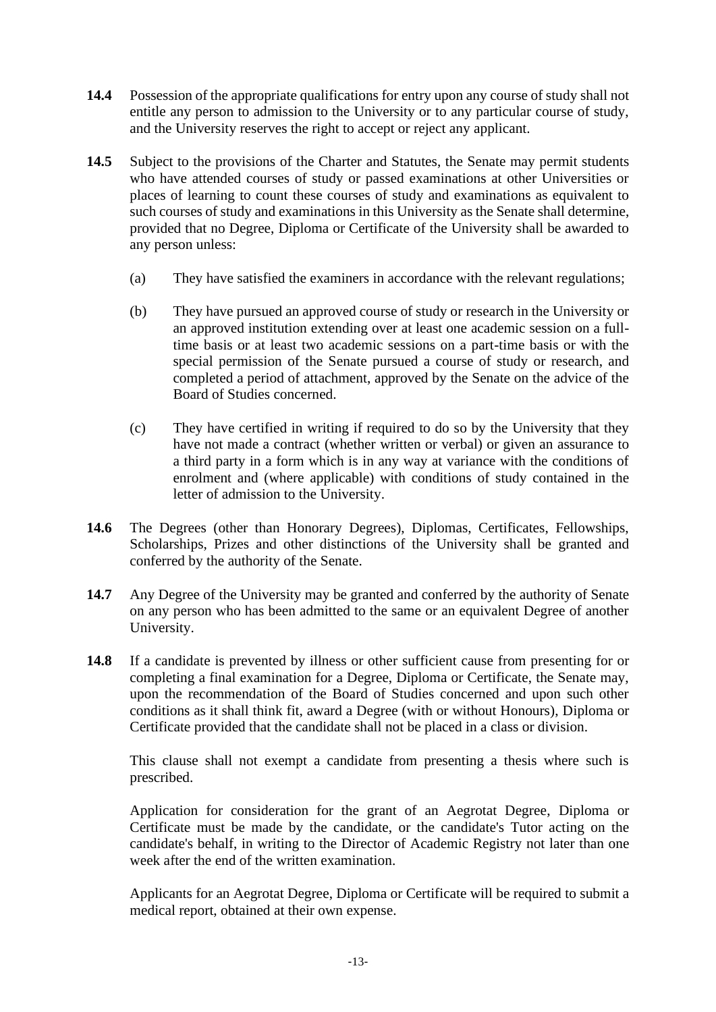- **14.4** Possession of the appropriate qualifications for entry upon any course of study shall not entitle any person to admission to the University or to any particular course of study, and the University reserves the right to accept or reject any applicant.
- **14.5** Subject to the provisions of the Charter and Statutes, the Senate may permit students who have attended courses of study or passed examinations at other Universities or places of learning to count these courses of study and examinations as equivalent to such courses of study and examinations in this University as the Senate shall determine, provided that no Degree, Diploma or Certificate of the University shall be awarded to any person unless:
	- (a) They have satisfied the examiners in accordance with the relevant regulations;
	- (b) They have pursued an approved course of study or research in the University or an approved institution extending over at least one academic session on a fulltime basis or at least two academic sessions on a part-time basis or with the special permission of the Senate pursued a course of study or research, and completed a period of attachment, approved by the Senate on the advice of the Board of Studies concerned.
	- (c) They have certified in writing if required to do so by the University that they have not made a contract (whether written or verbal) or given an assurance to a third party in a form which is in any way at variance with the conditions of enrolment and (where applicable) with conditions of study contained in the letter of admission to the University.
- **14.6** The Degrees (other than Honorary Degrees), Diplomas, Certificates, Fellowships, Scholarships, Prizes and other distinctions of the University shall be granted and conferred by the authority of the Senate.
- **14.7** Any Degree of the University may be granted and conferred by the authority of Senate on any person who has been admitted to the same or an equivalent Degree of another University.
- **14.8** If a candidate is prevented by illness or other sufficient cause from presenting for or completing a final examination for a Degree, Diploma or Certificate, the Senate may, upon the recommendation of the Board of Studies concerned and upon such other conditions as it shall think fit, award a Degree (with or without Honours), Diploma or Certificate provided that the candidate shall not be placed in a class or division.

This clause shall not exempt a candidate from presenting a thesis where such is prescribed.

Application for consideration for the grant of an Aegrotat Degree, Diploma or Certificate must be made by the candidate, or the candidate's Tutor acting on the candidate's behalf, in writing to the Director of Academic Registry not later than one week after the end of the written examination.

Applicants for an Aegrotat Degree, Diploma or Certificate will be required to submit a medical report, obtained at their own expense.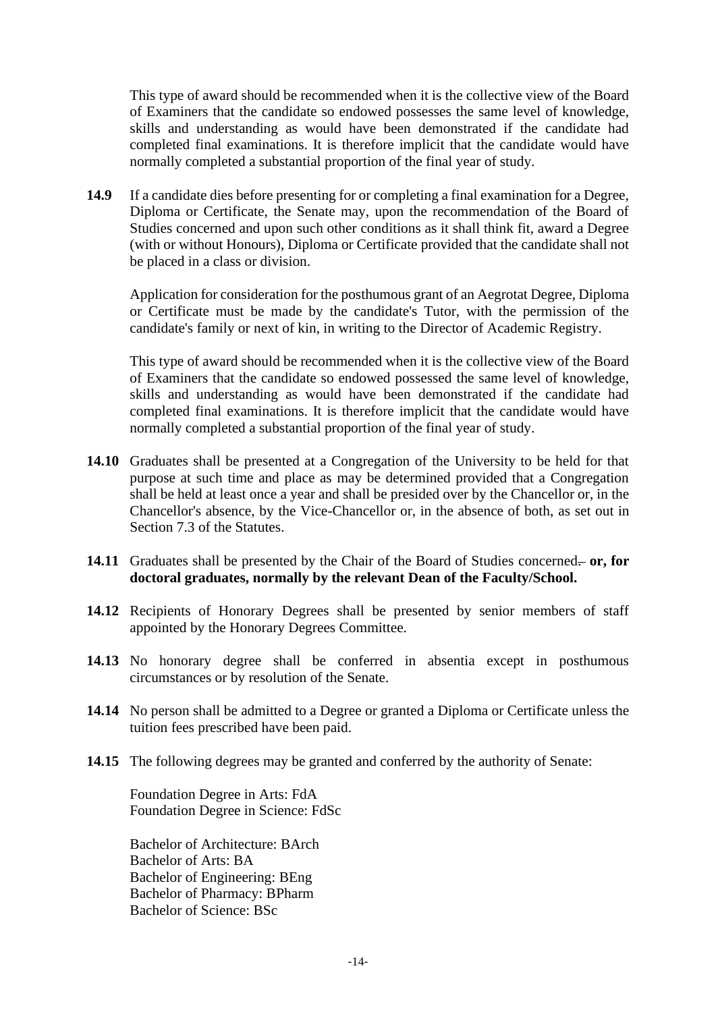This type of award should be recommended when it is the collective view of the Board of Examiners that the candidate so endowed possesses the same level of knowledge, skills and understanding as would have been demonstrated if the candidate had completed final examinations. It is therefore implicit that the candidate would have normally completed a substantial proportion of the final year of study.

**14.9** If a candidate dies before presenting for or completing a final examination for a Degree, Diploma or Certificate, the Senate may, upon the recommendation of the Board of Studies concerned and upon such other conditions as it shall think fit, award a Degree (with or without Honours), Diploma or Certificate provided that the candidate shall not be placed in a class or division.

Application for consideration for the posthumous grant of an Aegrotat Degree, Diploma or Certificate must be made by the candidate's Tutor, with the permission of the candidate's family or next of kin, in writing to the Director of Academic Registry.

This type of award should be recommended when it is the collective view of the Board of Examiners that the candidate so endowed possessed the same level of knowledge, skills and understanding as would have been demonstrated if the candidate had completed final examinations. It is therefore implicit that the candidate would have normally completed a substantial proportion of the final year of study.

- **14.10** Graduates shall be presented at a Congregation of the University to be held for that purpose at such time and place as may be determined provided that a Congregation shall be held at least once a year and shall be presided over by the Chancellor or, in the Chancellor's absence, by the Vice-Chancellor or, in the absence of both, as set out in Section 7.3 of the Statutes.
- 14.11 Graduates shall be presented by the Chair of the Board of Studies concerned- or, for **doctoral graduates, normally by the relevant Dean of the Faculty/School.**
- **14.12** Recipients of Honorary Degrees shall be presented by senior members of staff appointed by the Honorary Degrees Committee.
- **14.13** No honorary degree shall be conferred in absentia except in posthumous circumstances or by resolution of the Senate.
- **14.14** No person shall be admitted to a Degree or granted a Diploma or Certificate unless the tuition fees prescribed have been paid.
- **14.15** The following degrees may be granted and conferred by the authority of Senate:

Foundation Degree in Arts: FdA Foundation Degree in Science: FdSc

Bachelor of Architecture: BArch Bachelor of Arts: BA Bachelor of Engineering: BEng Bachelor of Pharmacy: BPharm Bachelor of Science: BSc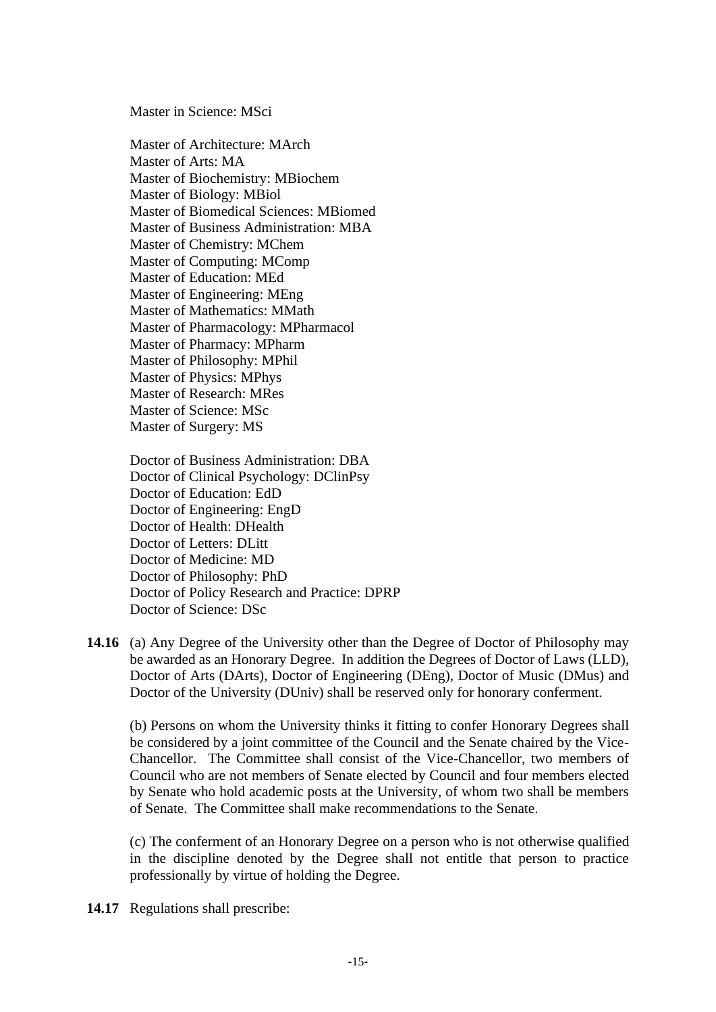Master in Science: MSci

Master of Architecture: MArch Master of Arts: MA Master of Biochemistry: MBiochem Master of Biology: MBiol Master of Biomedical Sciences: MBiomed Master of Business Administration: MBA Master of Chemistry: MChem Master of Computing: MComp Master of Education: MEd Master of Engineering: MEng Master of Mathematics: MMath Master of Pharmacology: MPharmacol Master of Pharmacy: MPharm Master of Philosophy: MPhil Master of Physics: MPhys Master of Research: MRes Master of Science: MSc Master of Surgery: MS

Doctor of Business Administration: DBA Doctor of Clinical Psychology: DClinPsy Doctor of Education: EdD Doctor of Engineering: EngD Doctor of Health: DHealth Doctor of Letters: DLitt Doctor of Medicine: MD Doctor of Philosophy: PhD Doctor of Policy Research and Practice: DPRP Doctor of Science: DSc

**14.16** (a) Any Degree of the University other than the Degree of Doctor of Philosophy may be awarded as an Honorary Degree. In addition the Degrees of Doctor of Laws (LLD), Doctor of Arts (DArts), Doctor of Engineering (DEng), Doctor of Music (DMus) and Doctor of the University (DUniv) shall be reserved only for honorary conferment.

(b) Persons on whom the University thinks it fitting to confer Honorary Degrees shall be considered by a joint committee of the Council and the Senate chaired by the Vice-Chancellor. The Committee shall consist of the Vice-Chancellor, two members of Council who are not members of Senate elected by Council and four members elected by Senate who hold academic posts at the University, of whom two shall be members of Senate. The Committee shall make recommendations to the Senate.

(c) The conferment of an Honorary Degree on a person who is not otherwise qualified in the discipline denoted by the Degree shall not entitle that person to practice professionally by virtue of holding the Degree.

**14.17** Regulations shall prescribe: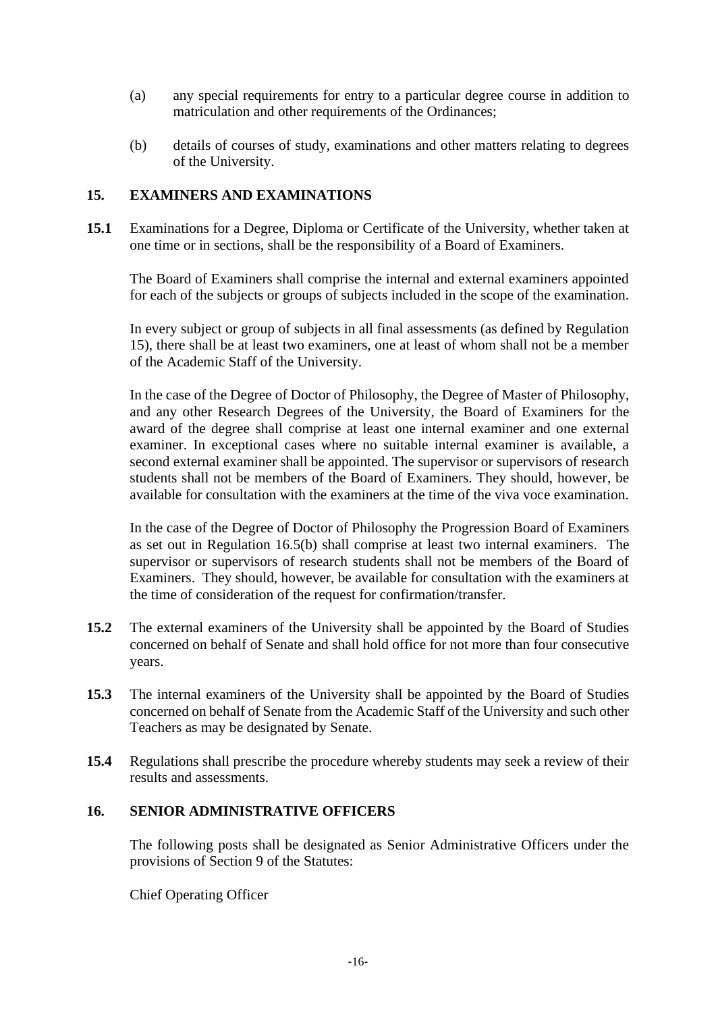- (a) any special requirements for entry to a particular degree course in addition to matriculation and other requirements of the Ordinances;
- (b) details of courses of study, examinations and other matters relating to degrees of the University.

### **15. EXAMINERS AND EXAMINATIONS**

**15.1** Examinations for a Degree, Diploma or Certificate of the University, whether taken at one time or in sections, shall be the responsibility of a Board of Examiners.

The Board of Examiners shall comprise the internal and external examiners appointed for each of the subjects or groups of subjects included in the scope of the examination.

In every subject or group of subjects in all final assessments (as defined by Regulation 15), there shall be at least two examiners, one at least of whom shall not be a member of the Academic Staff of the University.

In the case of the Degree of Doctor of Philosophy, the Degree of Master of Philosophy, and any other Research Degrees of the University, the Board of Examiners for the award of the degree shall comprise at least one internal examiner and one external examiner. In exceptional cases where no suitable internal examiner is available, a second external examiner shall be appointed. The supervisor or supervisors of research students shall not be members of the Board of Examiners. They should, however, be available for consultation with the examiners at the time of the viva voce examination.

In the case of the Degree of Doctor of Philosophy the Progression Board of Examiners as set out in Regulation 16.5(b) shall comprise at least two internal examiners. The supervisor or supervisors of research students shall not be members of the Board of Examiners. They should, however, be available for consultation with the examiners at the time of consideration of the request for confirmation/transfer.

- **15.2** The external examiners of the University shall be appointed by the Board of Studies concerned on behalf of Senate and shall hold office for not more than four consecutive years.
- **15.3** The internal examiners of the University shall be appointed by the Board of Studies concerned on behalf of Senate from the Academic Staff of the University and such other Teachers as may be designated by Senate.
- **15.4** Regulations shall prescribe the procedure whereby students may seek a review of their results and assessments.

### **16. SENIOR ADMINISTRATIVE OFFICERS**

The following posts shall be designated as Senior Administrative Officers under the provisions of Section 9 of the Statutes:

Chief Operating Officer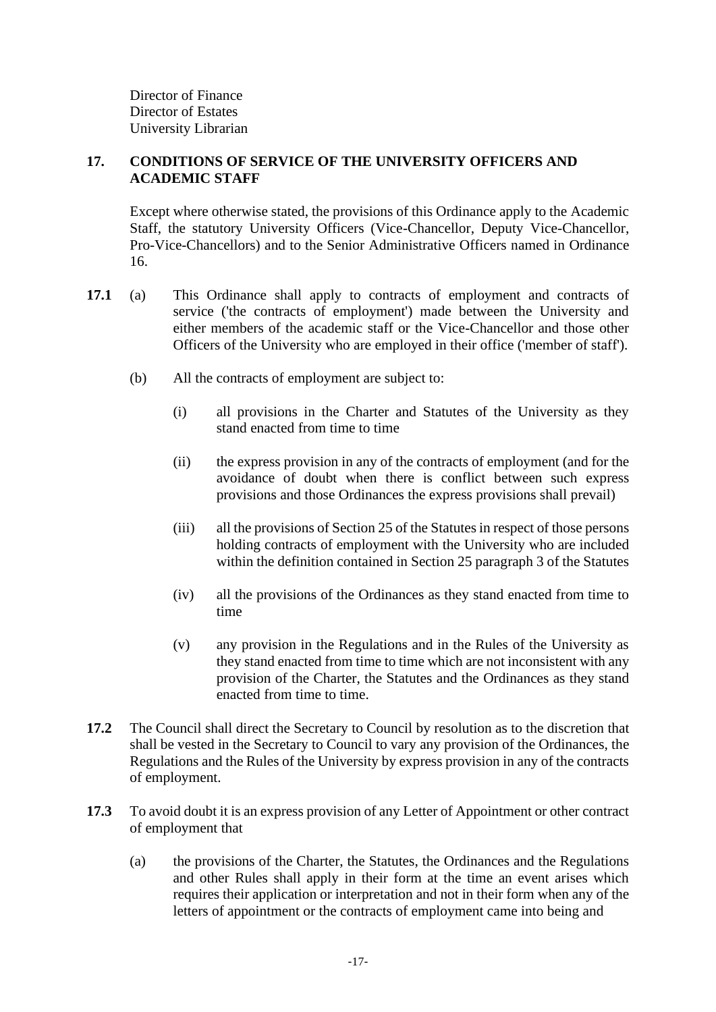Director of Finance Director of Estates University Librarian

# **17. CONDITIONS OF SERVICE OF THE UNIVERSITY OFFICERS AND ACADEMIC STAFF**

Except where otherwise stated, the provisions of this Ordinance apply to the Academic Staff, the statutory University Officers (Vice-Chancellor, Deputy Vice-Chancellor, Pro-Vice-Chancellors) and to the Senior Administrative Officers named in Ordinance 16.

- **17.1** (a) This Ordinance shall apply to contracts of employment and contracts of service ('the contracts of employment') made between the University and either members of the academic staff or the Vice-Chancellor and those other Officers of the University who are employed in their office ('member of staff').
	- (b) All the contracts of employment are subject to:
		- (i) all provisions in the Charter and Statutes of the University as they stand enacted from time to time
		- (ii) the express provision in any of the contracts of employment (and for the avoidance of doubt when there is conflict between such express provisions and those Ordinances the express provisions shall prevail)
		- (iii) all the provisions of Section 25 of the Statutes in respect of those persons holding contracts of employment with the University who are included within the definition contained in Section 25 paragraph 3 of the Statutes
		- (iv) all the provisions of the Ordinances as they stand enacted from time to time
		- (v) any provision in the Regulations and in the Rules of the University as they stand enacted from time to time which are not inconsistent with any provision of the Charter, the Statutes and the Ordinances as they stand enacted from time to time.
- **17.2** The Council shall direct the Secretary to Council by resolution as to the discretion that shall be vested in the Secretary to Council to vary any provision of the Ordinances, the Regulations and the Rules of the University by express provision in any of the contracts of employment.
- **17.3** To avoid doubt it is an express provision of any Letter of Appointment or other contract of employment that
	- (a) the provisions of the Charter, the Statutes, the Ordinances and the Regulations and other Rules shall apply in their form at the time an event arises which requires their application or interpretation and not in their form when any of the letters of appointment or the contracts of employment came into being and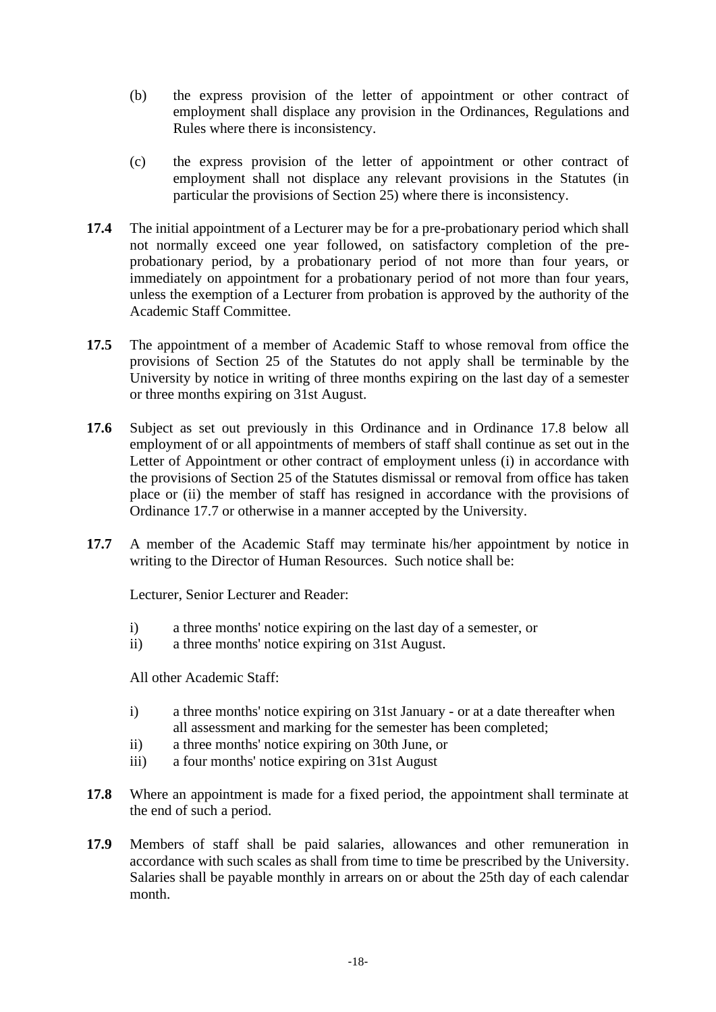- (b) the express provision of the letter of appointment or other contract of employment shall displace any provision in the Ordinances, Regulations and Rules where there is inconsistency.
- (c) the express provision of the letter of appointment or other contract of employment shall not displace any relevant provisions in the Statutes (in particular the provisions of Section 25) where there is inconsistency.
- **17.4** The initial appointment of a Lecturer may be for a pre-probationary period which shall not normally exceed one year followed, on satisfactory completion of the preprobationary period, by a probationary period of not more than four years, or immediately on appointment for a probationary period of not more than four years, unless the exemption of a Lecturer from probation is approved by the authority of the Academic Staff Committee.
- **17.5** The appointment of a member of Academic Staff to whose removal from office the provisions of Section 25 of the Statutes do not apply shall be terminable by the University by notice in writing of three months expiring on the last day of a semester or three months expiring on 31st August.
- **17.6** Subject as set out previously in this Ordinance and in Ordinance 17.8 below all employment of or all appointments of members of staff shall continue as set out in the Letter of Appointment or other contract of employment unless (i) in accordance with the provisions of Section 25 of the Statutes dismissal or removal from office has taken place or (ii) the member of staff has resigned in accordance with the provisions of Ordinance 17.7 or otherwise in a manner accepted by the University.
- **17.7** A member of the Academic Staff may terminate his/her appointment by notice in writing to the Director of Human Resources. Such notice shall be:

Lecturer, Senior Lecturer and Reader:

- i) a three months' notice expiring on the last day of a semester, or
- ii) a three months' notice expiring on 31st August.

All other Academic Staff:

- i) a three months' notice expiring on 31st January or at a date thereafter when all assessment and marking for the semester has been completed;
- ii) a three months' notice expiring on 30th June, or
- iii) a four months' notice expiring on 31st August
- **17.8** Where an appointment is made for a fixed period, the appointment shall terminate at the end of such a period.
- **17.9** Members of staff shall be paid salaries, allowances and other remuneration in accordance with such scales as shall from time to time be prescribed by the University. Salaries shall be payable monthly in arrears on or about the 25th day of each calendar month.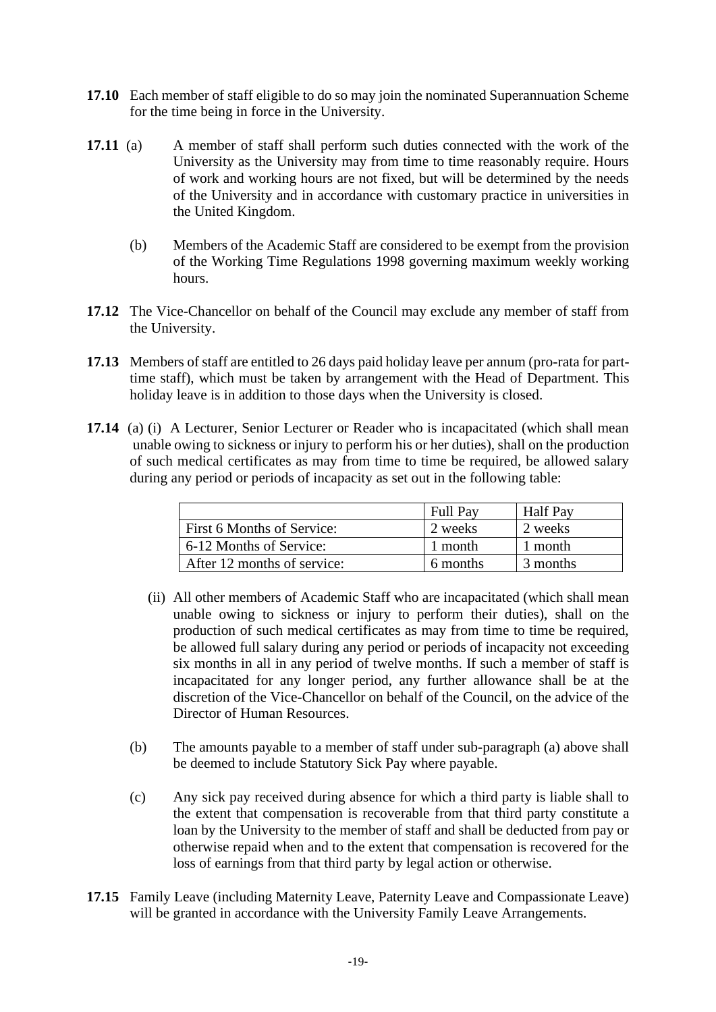- **17.10** Each member of staff eligible to do so may join the nominated Superannuation Scheme for the time being in force in the University.
- **17.11** (a) A member of staff shall perform such duties connected with the work of the University as the University may from time to time reasonably require. Hours of work and working hours are not fixed, but will be determined by the needs of the University and in accordance with customary practice in universities in the United Kingdom.
	- (b) Members of the Academic Staff are considered to be exempt from the provision of the Working Time Regulations 1998 governing maximum weekly working hours.
- **17.12** The Vice-Chancellor on behalf of the Council may exclude any member of staff from the University.
- **17.13** Members of staff are entitled to 26 days paid holiday leave per annum (pro-rata for parttime staff), which must be taken by arrangement with the Head of Department. This holiday leave is in addition to those days when the University is closed.
- **17.14** (a) (i) A Lecturer, Senior Lecturer or Reader who is incapacitated (which shall mean unable owing to sickness or injury to perform his or her duties), shall on the production of such medical certificates as may from time to time be required, be allowed salary during any period or periods of incapacity as set out in the following table:

|                             | <b>Full Pay</b> | <b>Half Pay</b> |
|-----------------------------|-----------------|-----------------|
| First 6 Months of Service:  | 2 weeks         | 2 weeks         |
| 6-12 Months of Service:     | 1 month         | 1 month         |
| After 12 months of service: | 6 months        | 3 months        |

- (ii) All other members of Academic Staff who are incapacitated (which shall mean unable owing to sickness or injury to perform their duties), shall on the production of such medical certificates as may from time to time be required, be allowed full salary during any period or periods of incapacity not exceeding six months in all in any period of twelve months. If such a member of staff is incapacitated for any longer period, any further allowance shall be at the discretion of the Vice-Chancellor on behalf of the Council, on the advice of the Director of Human Resources.
- (b) The amounts payable to a member of staff under sub-paragraph (a) above shall be deemed to include Statutory Sick Pay where payable.
- (c) Any sick pay received during absence for which a third party is liable shall to the extent that compensation is recoverable from that third party constitute a loan by the University to the member of staff and shall be deducted from pay or otherwise repaid when and to the extent that compensation is recovered for the loss of earnings from that third party by legal action or otherwise.
- **17.15** Family Leave (including Maternity Leave, Paternity Leave and Compassionate Leave) will be granted in accordance with the University Family Leave Arrangements.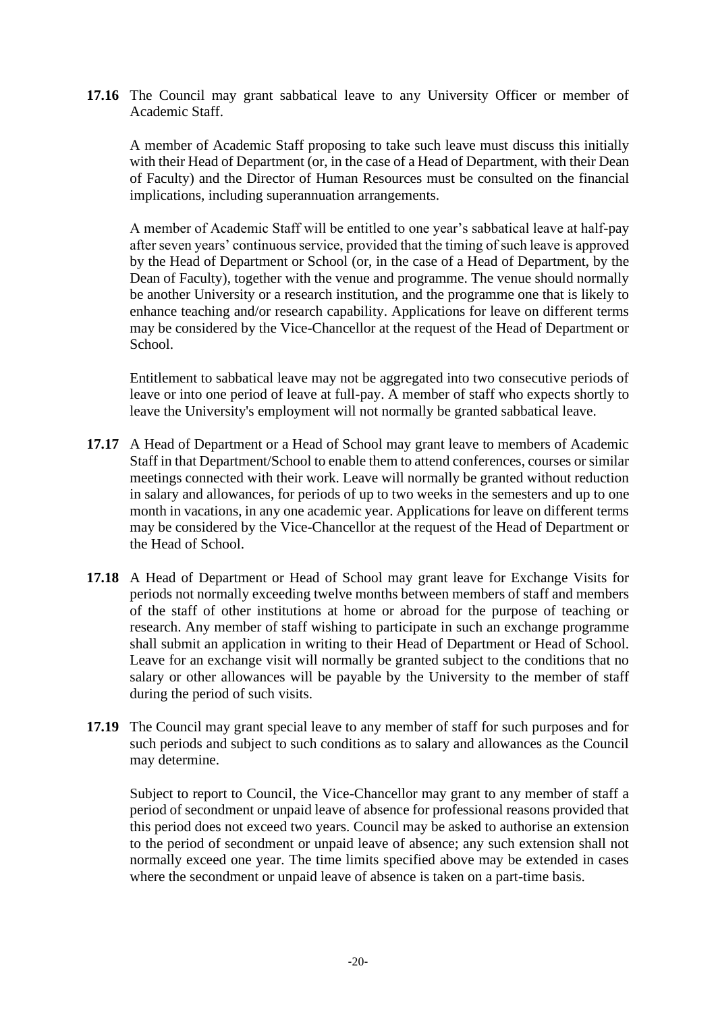**17.16** The Council may grant sabbatical leave to any University Officer or member of Academic Staff.

A member of Academic Staff proposing to take such leave must discuss this initially with their Head of Department (or, in the case of a Head of Department, with their Dean of Faculty) and the Director of Human Resources must be consulted on the financial implications, including superannuation arrangements.

A member of Academic Staff will be entitled to one year's sabbatical leave at half-pay after seven years' continuous service, provided that the timing of such leave is approved by the Head of Department or School (or, in the case of a Head of Department, by the Dean of Faculty), together with the venue and programme. The venue should normally be another University or a research institution, and the programme one that is likely to enhance teaching and/or research capability. Applications for leave on different terms may be considered by the Vice-Chancellor at the request of the Head of Department or School.

Entitlement to sabbatical leave may not be aggregated into two consecutive periods of leave or into one period of leave at full-pay. A member of staff who expects shortly to leave the University's employment will not normally be granted sabbatical leave.

- **17.17** A Head of Department or a Head of School may grant leave to members of Academic Staff in that Department/School to enable them to attend conferences, courses or similar meetings connected with their work. Leave will normally be granted without reduction in salary and allowances, for periods of up to two weeks in the semesters and up to one month in vacations, in any one academic year. Applications for leave on different terms may be considered by the Vice-Chancellor at the request of the Head of Department or the Head of School.
- **17.18** A Head of Department or Head of School may grant leave for Exchange Visits for periods not normally exceeding twelve months between members of staff and members of the staff of other institutions at home or abroad for the purpose of teaching or research. Any member of staff wishing to participate in such an exchange programme shall submit an application in writing to their Head of Department or Head of School. Leave for an exchange visit will normally be granted subject to the conditions that no salary or other allowances will be payable by the University to the member of staff during the period of such visits.
- **17.19** The Council may grant special leave to any member of staff for such purposes and for such periods and subject to such conditions as to salary and allowances as the Council may determine.

Subject to report to Council, the Vice-Chancellor may grant to any member of staff a period of secondment or unpaid leave of absence for professional reasons provided that this period does not exceed two years. Council may be asked to authorise an extension to the period of secondment or unpaid leave of absence; any such extension shall not normally exceed one year. The time limits specified above may be extended in cases where the secondment or unpaid leave of absence is taken on a part-time basis.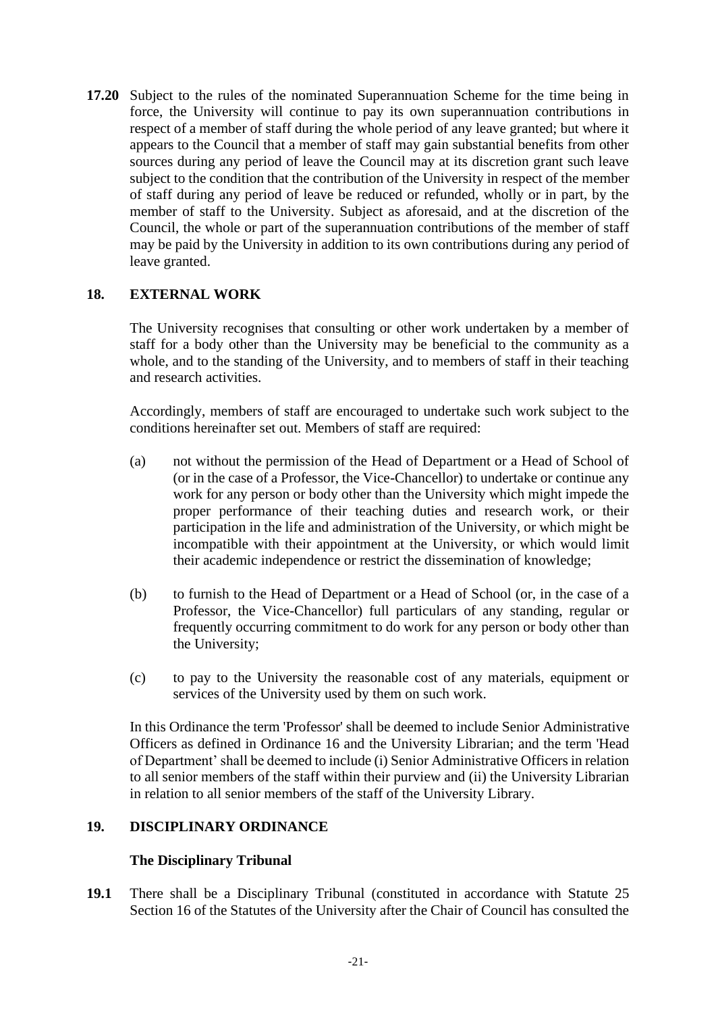**17.20** Subject to the rules of the nominated Superannuation Scheme for the time being in force, the University will continue to pay its own superannuation contributions in respect of a member of staff during the whole period of any leave granted; but where it appears to the Council that a member of staff may gain substantial benefits from other sources during any period of leave the Council may at its discretion grant such leave subject to the condition that the contribution of the University in respect of the member of staff during any period of leave be reduced or refunded, wholly or in part, by the member of staff to the University. Subject as aforesaid, and at the discretion of the Council, the whole or part of the superannuation contributions of the member of staff may be paid by the University in addition to its own contributions during any period of leave granted.

# **18. EXTERNAL WORK**

The University recognises that consulting or other work undertaken by a member of staff for a body other than the University may be beneficial to the community as a whole, and to the standing of the University, and to members of staff in their teaching and research activities.

Accordingly, members of staff are encouraged to undertake such work subject to the conditions hereinafter set out. Members of staff are required:

- (a) not without the permission of the Head of Department or a Head of School of (or in the case of a Professor, the Vice-Chancellor) to undertake or continue any work for any person or body other than the University which might impede the proper performance of their teaching duties and research work, or their participation in the life and administration of the University, or which might be incompatible with their appointment at the University, or which would limit their academic independence or restrict the dissemination of knowledge;
- (b) to furnish to the Head of Department or a Head of School (or, in the case of a Professor, the Vice-Chancellor) full particulars of any standing, regular or frequently occurring commitment to do work for any person or body other than the University;
- (c) to pay to the University the reasonable cost of any materials, equipment or services of the University used by them on such work.

In this Ordinance the term 'Professor' shall be deemed to include Senior Administrative Officers as defined in Ordinance 16 and the University Librarian; and the term 'Head of Department' shall be deemed to include (i) Senior Administrative Officers in relation to all senior members of the staff within their purview and (ii) the University Librarian in relation to all senior members of the staff of the University Library.

#### **19. DISCIPLINARY ORDINANCE**

# **The Disciplinary Tribunal**

**19.1** There shall be a Disciplinary Tribunal (constituted in accordance with Statute 25 Section 16 of the Statutes of the University after the Chair of Council has consulted the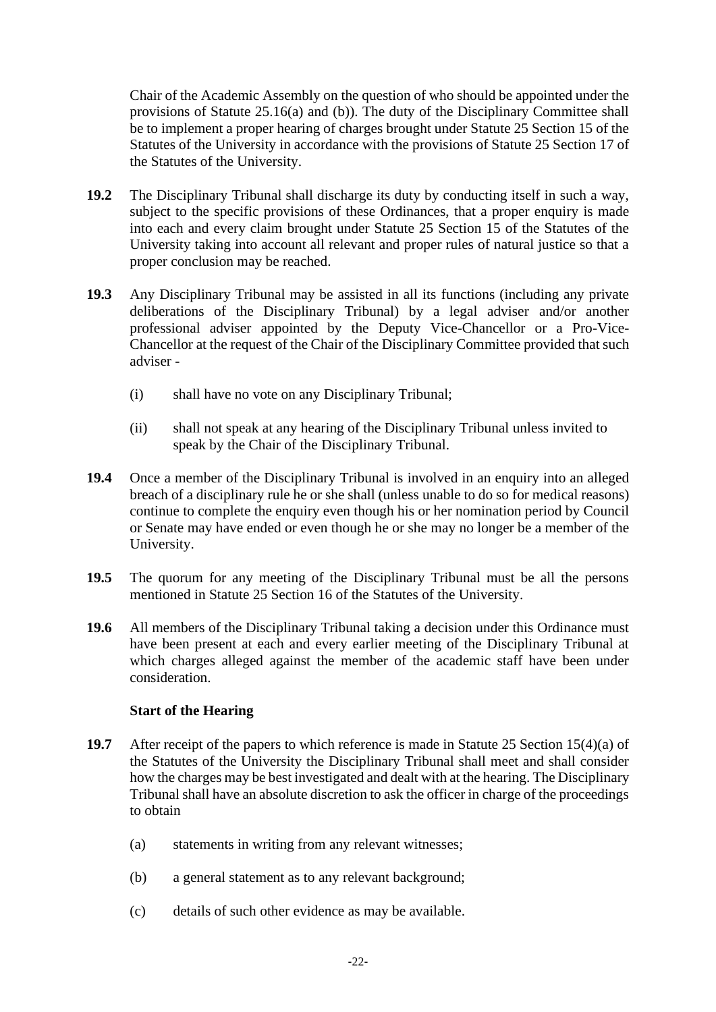Chair of the Academic Assembly on the question of who should be appointed under the provisions of Statute 25.16(a) and (b)). The duty of the Disciplinary Committee shall be to implement a proper hearing of charges brought under Statute 25 Section 15 of the Statutes of the University in accordance with the provisions of Statute 25 Section 17 of the Statutes of the University.

- **19.2** The Disciplinary Tribunal shall discharge its duty by conducting itself in such a way, subject to the specific provisions of these Ordinances, that a proper enquiry is made into each and every claim brought under Statute 25 Section 15 of the Statutes of the University taking into account all relevant and proper rules of natural justice so that a proper conclusion may be reached.
- **19.3** Any Disciplinary Tribunal may be assisted in all its functions (including any private deliberations of the Disciplinary Tribunal) by a legal adviser and/or another professional adviser appointed by the Deputy Vice-Chancellor or a Pro-Vice-Chancellor at the request of the Chair of the Disciplinary Committee provided that such adviser -
	- (i) shall have no vote on any Disciplinary Tribunal;
	- (ii) shall not speak at any hearing of the Disciplinary Tribunal unless invited to speak by the Chair of the Disciplinary Tribunal.
- **19.4** Once a member of the Disciplinary Tribunal is involved in an enquiry into an alleged breach of a disciplinary rule he or she shall (unless unable to do so for medical reasons) continue to complete the enquiry even though his or her nomination period by Council or Senate may have ended or even though he or she may no longer be a member of the University.
- **19.5** The quorum for any meeting of the Disciplinary Tribunal must be all the persons mentioned in Statute 25 Section 16 of the Statutes of the University.
- **19.6** All members of the Disciplinary Tribunal taking a decision under this Ordinance must have been present at each and every earlier meeting of the Disciplinary Tribunal at which charges alleged against the member of the academic staff have been under consideration.

# **Start of the Hearing**

- **19.7** After receipt of the papers to which reference is made in Statute 25 Section 15(4)(a) of the Statutes of the University the Disciplinary Tribunal shall meet and shall consider how the charges may be best investigated and dealt with at the hearing. The Disciplinary Tribunal shall have an absolute discretion to ask the officer in charge of the proceedings to obtain
	- (a) statements in writing from any relevant witnesses;
	- (b) a general statement as to any relevant background;
	- (c) details of such other evidence as may be available.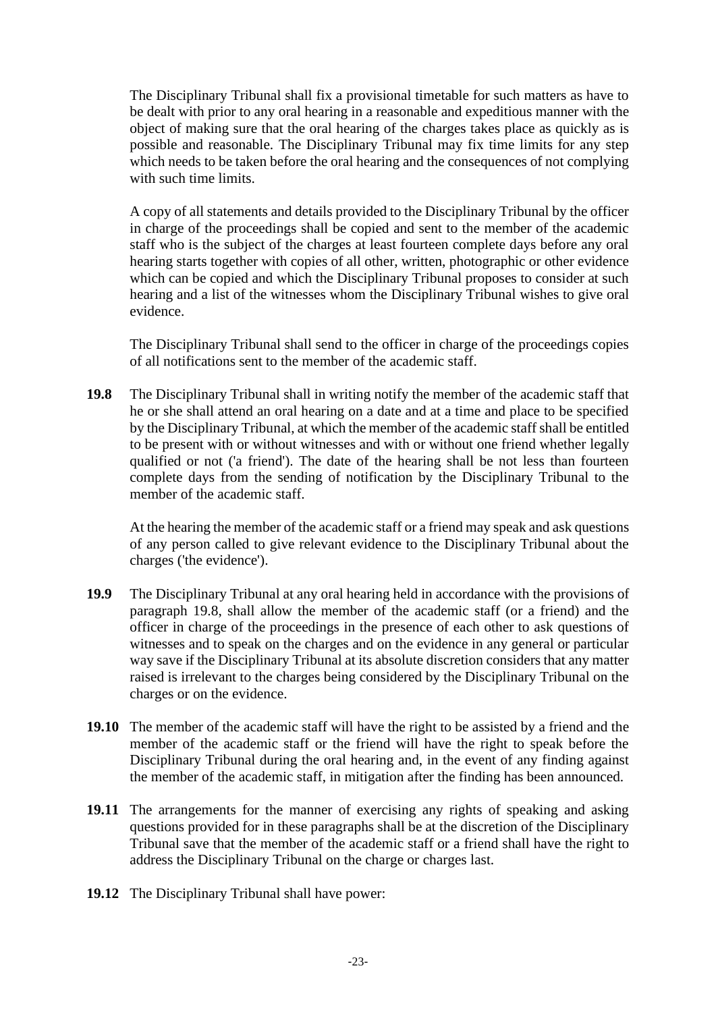The Disciplinary Tribunal shall fix a provisional timetable for such matters as have to be dealt with prior to any oral hearing in a reasonable and expeditious manner with the object of making sure that the oral hearing of the charges takes place as quickly as is possible and reasonable. The Disciplinary Tribunal may fix time limits for any step which needs to be taken before the oral hearing and the consequences of not complying with such time limits.

A copy of all statements and details provided to the Disciplinary Tribunal by the officer in charge of the proceedings shall be copied and sent to the member of the academic staff who is the subject of the charges at least fourteen complete days before any oral hearing starts together with copies of all other, written, photographic or other evidence which can be copied and which the Disciplinary Tribunal proposes to consider at such hearing and a list of the witnesses whom the Disciplinary Tribunal wishes to give oral evidence.

The Disciplinary Tribunal shall send to the officer in charge of the proceedings copies of all notifications sent to the member of the academic staff.

**19.8** The Disciplinary Tribunal shall in writing notify the member of the academic staff that he or she shall attend an oral hearing on a date and at a time and place to be specified by the Disciplinary Tribunal, at which the member of the academic staff shall be entitled to be present with or without witnesses and with or without one friend whether legally qualified or not ('a friend'). The date of the hearing shall be not less than fourteen complete days from the sending of notification by the Disciplinary Tribunal to the member of the academic staff.

At the hearing the member of the academic staff or a friend may speak and ask questions of any person called to give relevant evidence to the Disciplinary Tribunal about the charges ('the evidence').

- **19.9** The Disciplinary Tribunal at any oral hearing held in accordance with the provisions of paragraph 19.8, shall allow the member of the academic staff (or a friend) and the officer in charge of the proceedings in the presence of each other to ask questions of witnesses and to speak on the charges and on the evidence in any general or particular way save if the Disciplinary Tribunal at its absolute discretion considers that any matter raised is irrelevant to the charges being considered by the Disciplinary Tribunal on the charges or on the evidence.
- **19.10** The member of the academic staff will have the right to be assisted by a friend and the member of the academic staff or the friend will have the right to speak before the Disciplinary Tribunal during the oral hearing and, in the event of any finding against the member of the academic staff, in mitigation after the finding has been announced.
- **19.11** The arrangements for the manner of exercising any rights of speaking and asking questions provided for in these paragraphs shall be at the discretion of the Disciplinary Tribunal save that the member of the academic staff or a friend shall have the right to address the Disciplinary Tribunal on the charge or charges last.
- **19.12** The Disciplinary Tribunal shall have power: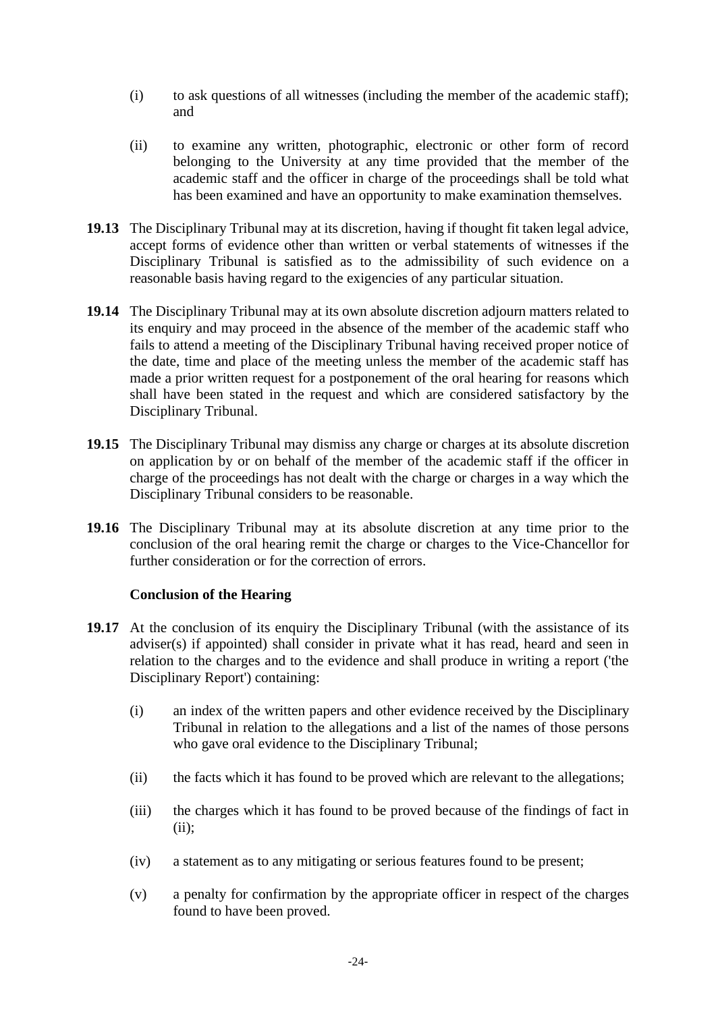- (i) to ask questions of all witnesses (including the member of the academic staff); and
- (ii) to examine any written, photographic, electronic or other form of record belonging to the University at any time provided that the member of the academic staff and the officer in charge of the proceedings shall be told what has been examined and have an opportunity to make examination themselves.
- **19.13** The Disciplinary Tribunal may at its discretion, having if thought fit taken legal advice, accept forms of evidence other than written or verbal statements of witnesses if the Disciplinary Tribunal is satisfied as to the admissibility of such evidence on a reasonable basis having regard to the exigencies of any particular situation.
- **19.14** The Disciplinary Tribunal may at its own absolute discretion adjourn matters related to its enquiry and may proceed in the absence of the member of the academic staff who fails to attend a meeting of the Disciplinary Tribunal having received proper notice of the date, time and place of the meeting unless the member of the academic staff has made a prior written request for a postponement of the oral hearing for reasons which shall have been stated in the request and which are considered satisfactory by the Disciplinary Tribunal.
- **19.15** The Disciplinary Tribunal may dismiss any charge or charges at its absolute discretion on application by or on behalf of the member of the academic staff if the officer in charge of the proceedings has not dealt with the charge or charges in a way which the Disciplinary Tribunal considers to be reasonable.
- **19.16** The Disciplinary Tribunal may at its absolute discretion at any time prior to the conclusion of the oral hearing remit the charge or charges to the Vice-Chancellor for further consideration or for the correction of errors.

#### **Conclusion of the Hearing**

- 19.17 At the conclusion of its enquiry the Disciplinary Tribunal (with the assistance of its adviser(s) if appointed) shall consider in private what it has read, heard and seen in relation to the charges and to the evidence and shall produce in writing a report ('the Disciplinary Report') containing:
	- (i) an index of the written papers and other evidence received by the Disciplinary Tribunal in relation to the allegations and a list of the names of those persons who gave oral evidence to the Disciplinary Tribunal;
	- (ii) the facts which it has found to be proved which are relevant to the allegations;
	- (iii) the charges which it has found to be proved because of the findings of fact in  $(ii)$ ;
	- (iv) a statement as to any mitigating or serious features found to be present;
	- (v) a penalty for confirmation by the appropriate officer in respect of the charges found to have been proved.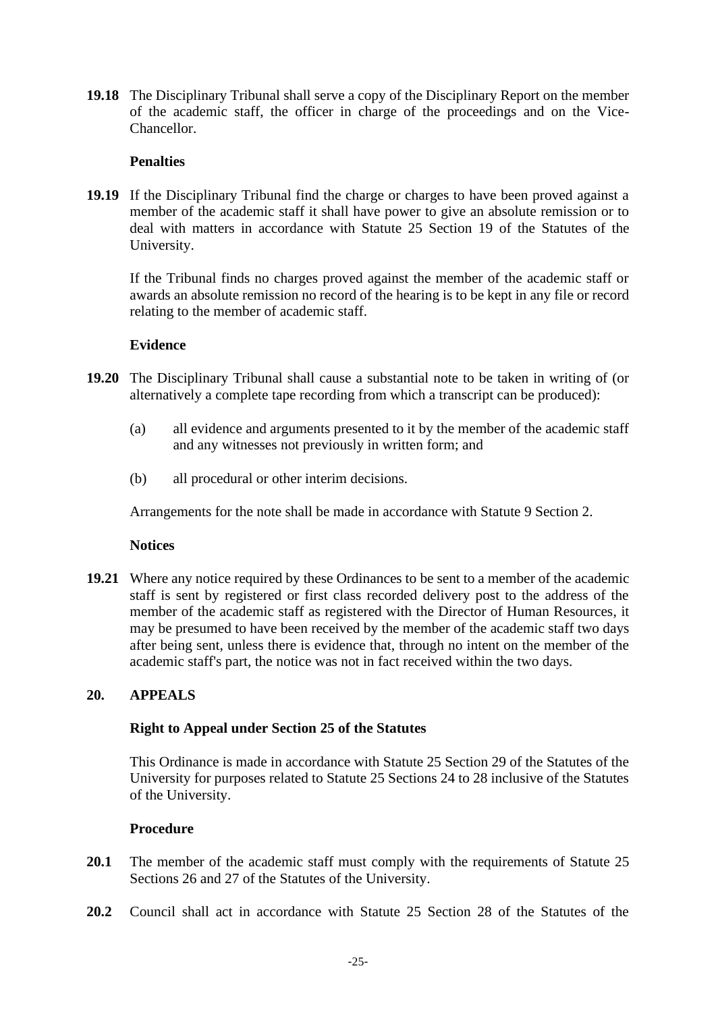**19.18** The Disciplinary Tribunal shall serve a copy of the Disciplinary Report on the member of the academic staff, the officer in charge of the proceedings and on the Vice-Chancellor.

### **Penalties**

**19.19** If the Disciplinary Tribunal find the charge or charges to have been proved against a member of the academic staff it shall have power to give an absolute remission or to deal with matters in accordance with Statute 25 Section 19 of the Statutes of the University.

If the Tribunal finds no charges proved against the member of the academic staff or awards an absolute remission no record of the hearing is to be kept in any file or record relating to the member of academic staff.

#### **Evidence**

- **19.20** The Disciplinary Tribunal shall cause a substantial note to be taken in writing of (or alternatively a complete tape recording from which a transcript can be produced):
	- (a) all evidence and arguments presented to it by the member of the academic staff and any witnesses not previously in written form; and
	- (b) all procedural or other interim decisions.

Arrangements for the note shall be made in accordance with Statute 9 Section 2.

#### **Notices**

**19.21** Where any notice required by these Ordinances to be sent to a member of the academic staff is sent by registered or first class recorded delivery post to the address of the member of the academic staff as registered with the Director of Human Resources, it may be presumed to have been received by the member of the academic staff two days after being sent, unless there is evidence that, through no intent on the member of the academic staff's part, the notice was not in fact received within the two days.

### **20. APPEALS**

#### **Right to Appeal under Section 25 of the Statutes**

This Ordinance is made in accordance with Statute 25 Section 29 of the Statutes of the University for purposes related to Statute 25 Sections 24 to 28 inclusive of the Statutes of the University.

### **Procedure**

- 20.1 The member of the academic staff must comply with the requirements of Statute 25 Sections 26 and 27 of the Statutes of the University.
- **20.2** Council shall act in accordance with Statute 25 Section 28 of the Statutes of the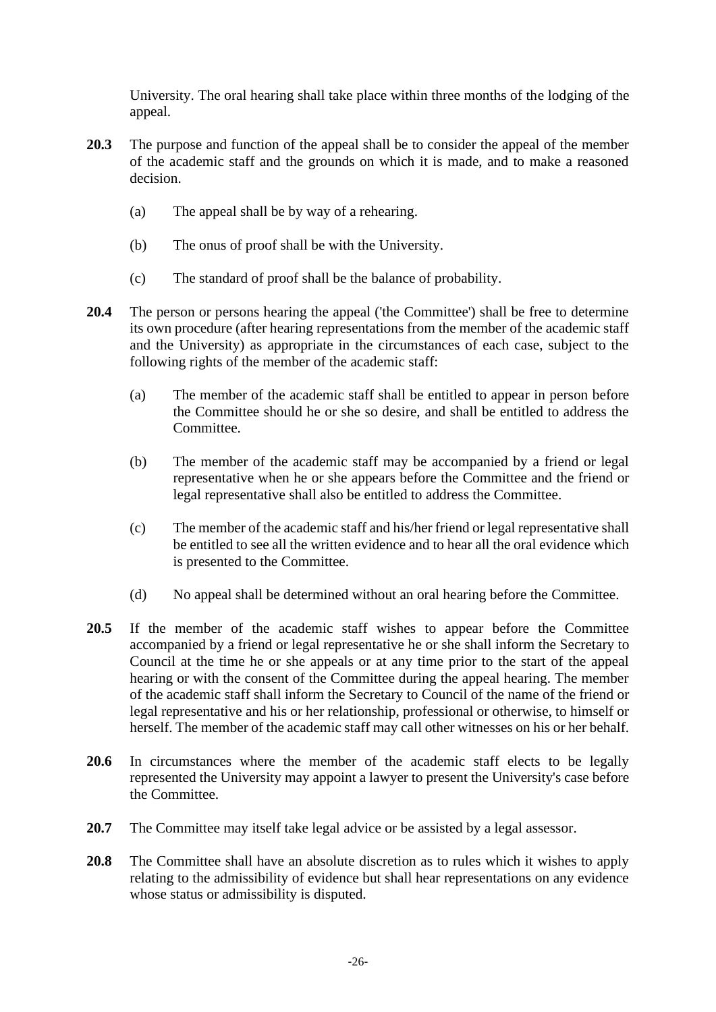University. The oral hearing shall take place within three months of the lodging of the appeal.

- **20.3** The purpose and function of the appeal shall be to consider the appeal of the member of the academic staff and the grounds on which it is made, and to make a reasoned decision.
	- (a) The appeal shall be by way of a rehearing.
	- (b) The onus of proof shall be with the University.
	- (c) The standard of proof shall be the balance of probability.
- **20.4** The person or persons hearing the appeal ('the Committee') shall be free to determine its own procedure (after hearing representations from the member of the academic staff and the University) as appropriate in the circumstances of each case, subject to the following rights of the member of the academic staff:
	- (a) The member of the academic staff shall be entitled to appear in person before the Committee should he or she so desire, and shall be entitled to address the Committee.
	- (b) The member of the academic staff may be accompanied by a friend or legal representative when he or she appears before the Committee and the friend or legal representative shall also be entitled to address the Committee.
	- (c) The member of the academic staff and his/her friend or legal representative shall be entitled to see all the written evidence and to hear all the oral evidence which is presented to the Committee.
	- (d) No appeal shall be determined without an oral hearing before the Committee.
- **20.5** If the member of the academic staff wishes to appear before the Committee accompanied by a friend or legal representative he or she shall inform the Secretary to Council at the time he or she appeals or at any time prior to the start of the appeal hearing or with the consent of the Committee during the appeal hearing. The member of the academic staff shall inform the Secretary to Council of the name of the friend or legal representative and his or her relationship, professional or otherwise, to himself or herself. The member of the academic staff may call other witnesses on his or her behalf.
- **20.6** In circumstances where the member of the academic staff elects to be legally represented the University may appoint a lawyer to present the University's case before the Committee.
- **20.7** The Committee may itself take legal advice or be assisted by a legal assessor.
- **20.8** The Committee shall have an absolute discretion as to rules which it wishes to apply relating to the admissibility of evidence but shall hear representations on any evidence whose status or admissibility is disputed.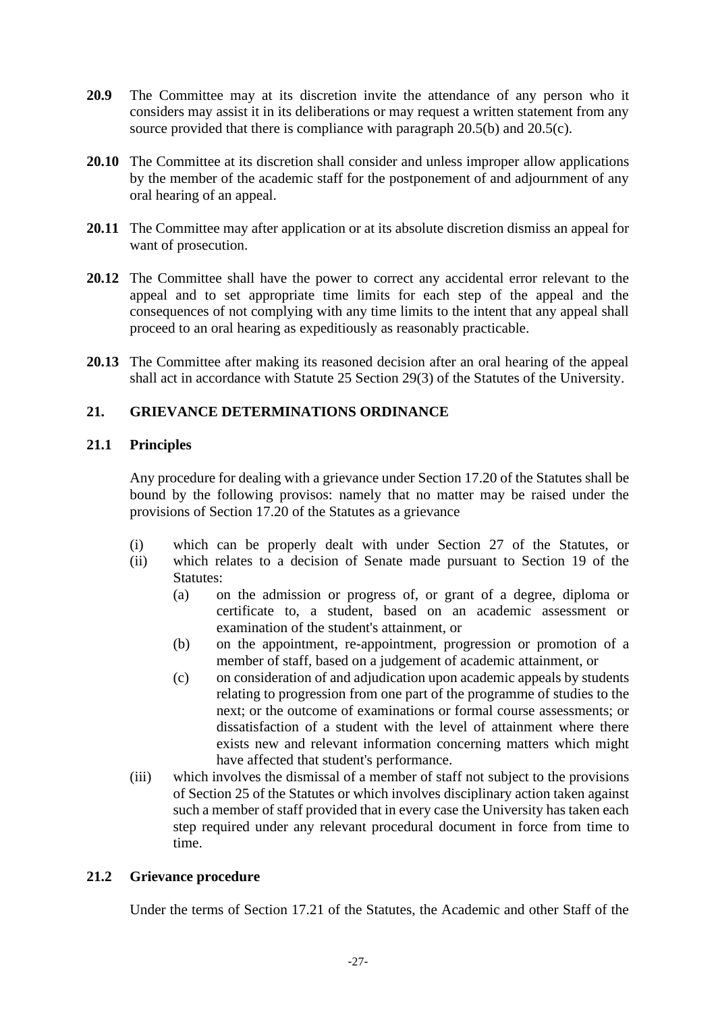- **20.9** The Committee may at its discretion invite the attendance of any person who it considers may assist it in its deliberations or may request a written statement from any source provided that there is compliance with paragraph 20.5(b) and 20.5(c).
- **20.10** The Committee at its discretion shall consider and unless improper allow applications by the member of the academic staff for the postponement of and adjournment of any oral hearing of an appeal.
- **20.11** The Committee may after application or at its absolute discretion dismiss an appeal for want of prosecution.
- **20.12** The Committee shall have the power to correct any accidental error relevant to the appeal and to set appropriate time limits for each step of the appeal and the consequences of not complying with any time limits to the intent that any appeal shall proceed to an oral hearing as expeditiously as reasonably practicable.
- **20.13** The Committee after making its reasoned decision after an oral hearing of the appeal shall act in accordance with Statute 25 Section 29(3) of the Statutes of the University.

# **21. GRIEVANCE DETERMINATIONS ORDINANCE**

### **21.1 Principles**

Any procedure for dealing with a grievance under Section 17.20 of the Statutes shall be bound by the following provisos: namely that no matter may be raised under the provisions of Section 17.20 of the Statutes as a grievance

- (i) which can be properly dealt with under Section 27 of the Statutes, or
- (ii) which relates to a decision of Senate made pursuant to Section 19 of the Statutes:
	- (a) on the admission or progress of, or grant of a degree, diploma or certificate to, a student, based on an academic assessment or examination of the student's attainment, or
	- (b) on the appointment, re-appointment, progression or promotion of a member of staff, based on a judgement of academic attainment, or
	- (c) on consideration of and adjudication upon academic appeals by students relating to progression from one part of the programme of studies to the next; or the outcome of examinations or formal course assessments; or dissatisfaction of a student with the level of attainment where there exists new and relevant information concerning matters which might have affected that student's performance.
- (iii) which involves the dismissal of a member of staff not subject to the provisions of Section 25 of the Statutes or which involves disciplinary action taken against such a member of staff provided that in every case the University has taken each step required under any relevant procedural document in force from time to time.

# **21.2 Grievance procedure**

Under the terms of Section 17.21 of the Statutes, the Academic and other Staff of the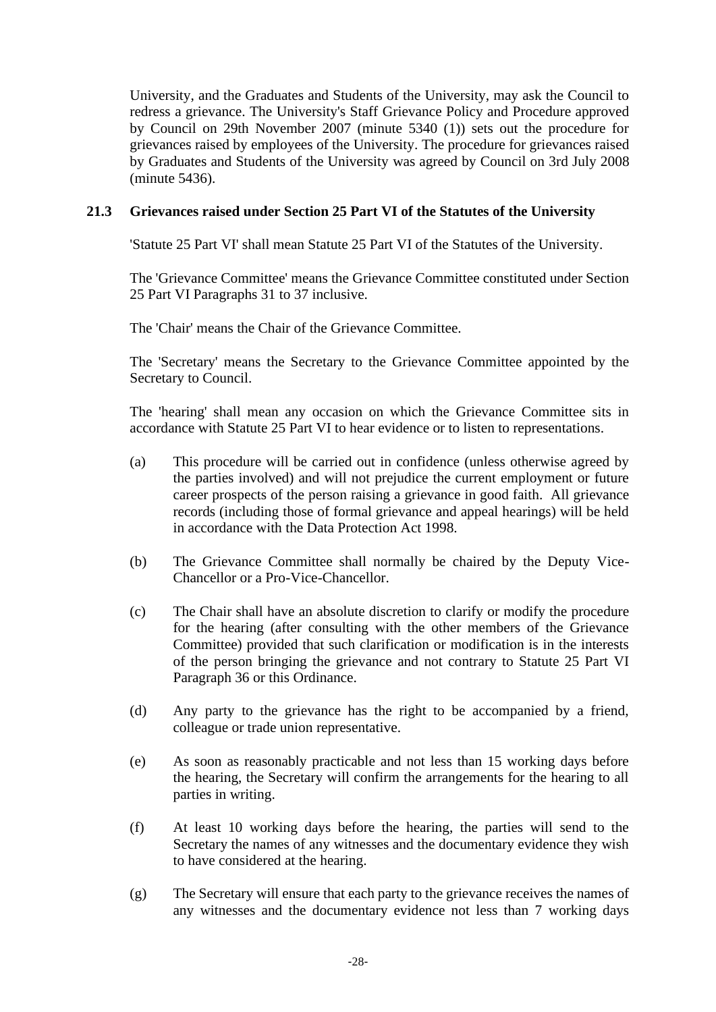University, and the Graduates and Students of the University, may ask the Council to redress a grievance. The University's Staff Grievance Policy and Procedure approved by Council on 29th November 2007 (minute 5340 (1)) sets out the procedure for grievances raised by employees of the University. The procedure for grievances raised by Graduates and Students of the University was agreed by Council on 3rd July 2008 (minute 5436).

### **21.3 Grievances raised under Section 25 Part VI of the Statutes of the University**

'Statute 25 Part VI' shall mean Statute 25 Part VI of the Statutes of the University.

The 'Grievance Committee' means the Grievance Committee constituted under Section 25 Part VI Paragraphs 31 to 37 inclusive.

The 'Chair' means the Chair of the Grievance Committee.

The 'Secretary' means the Secretary to the Grievance Committee appointed by the Secretary to Council.

The 'hearing' shall mean any occasion on which the Grievance Committee sits in accordance with Statute 25 Part VI to hear evidence or to listen to representations.

- (a) This procedure will be carried out in confidence (unless otherwise agreed by the parties involved) and will not prejudice the current employment or future career prospects of the person raising a grievance in good faith. All grievance records (including those of formal grievance and appeal hearings) will be held in accordance with the Data Protection Act 1998.
- (b) The Grievance Committee shall normally be chaired by the Deputy Vice-Chancellor or a Pro-Vice-Chancellor.
- (c) The Chair shall have an absolute discretion to clarify or modify the procedure for the hearing (after consulting with the other members of the Grievance Committee) provided that such clarification or modification is in the interests of the person bringing the grievance and not contrary to Statute 25 Part VI Paragraph 36 or this Ordinance.
- (d) Any party to the grievance has the right to be accompanied by a friend, colleague or trade union representative.
- (e) As soon as reasonably practicable and not less than 15 working days before the hearing, the Secretary will confirm the arrangements for the hearing to all parties in writing.
- (f) At least 10 working days before the hearing, the parties will send to the Secretary the names of any witnesses and the documentary evidence they wish to have considered at the hearing.
- (g) The Secretary will ensure that each party to the grievance receives the names of any witnesses and the documentary evidence not less than 7 working days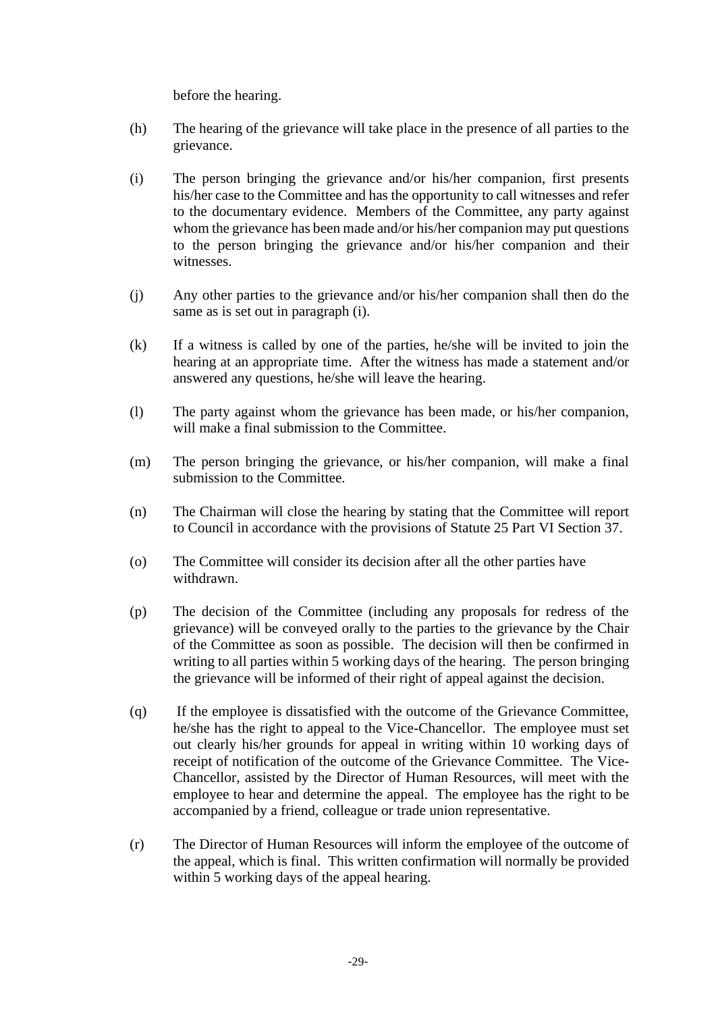before the hearing.

- (h) The hearing of the grievance will take place in the presence of all parties to the grievance.
- (i) The person bringing the grievance and/or his/her companion, first presents his/her case to the Committee and has the opportunity to call witnesses and refer to the documentary evidence. Members of the Committee, any party against whom the grievance has been made and/or his/her companion may put questions to the person bringing the grievance and/or his/her companion and their witnesses.
- (j) Any other parties to the grievance and/or his/her companion shall then do the same as is set out in paragraph (i).
- (k) If a witness is called by one of the parties, he/she will be invited to join the hearing at an appropriate time. After the witness has made a statement and/or answered any questions, he/she will leave the hearing.
- (l) The party against whom the grievance has been made, or his/her companion, will make a final submission to the Committee.
- (m) The person bringing the grievance, or his/her companion, will make a final submission to the Committee.
- (n) The Chairman will close the hearing by stating that the Committee will report to Council in accordance with the provisions of Statute 25 Part VI Section 37.
- (o) The Committee will consider its decision after all the other parties have withdrawn.
- (p) The decision of the Committee (including any proposals for redress of the grievance) will be conveyed orally to the parties to the grievance by the Chair of the Committee as soon as possible. The decision will then be confirmed in writing to all parties within 5 working days of the hearing. The person bringing the grievance will be informed of their right of appeal against the decision.
- (q) If the employee is dissatisfied with the outcome of the Grievance Committee, he/she has the right to appeal to the Vice-Chancellor. The employee must set out clearly his/her grounds for appeal in writing within 10 working days of receipt of notification of the outcome of the Grievance Committee. The Vice-Chancellor, assisted by the Director of Human Resources, will meet with the employee to hear and determine the appeal. The employee has the right to be accompanied by a friend, colleague or trade union representative.
- (r) The Director of Human Resources will inform the employee of the outcome of the appeal, which is final. This written confirmation will normally be provided within 5 working days of the appeal hearing.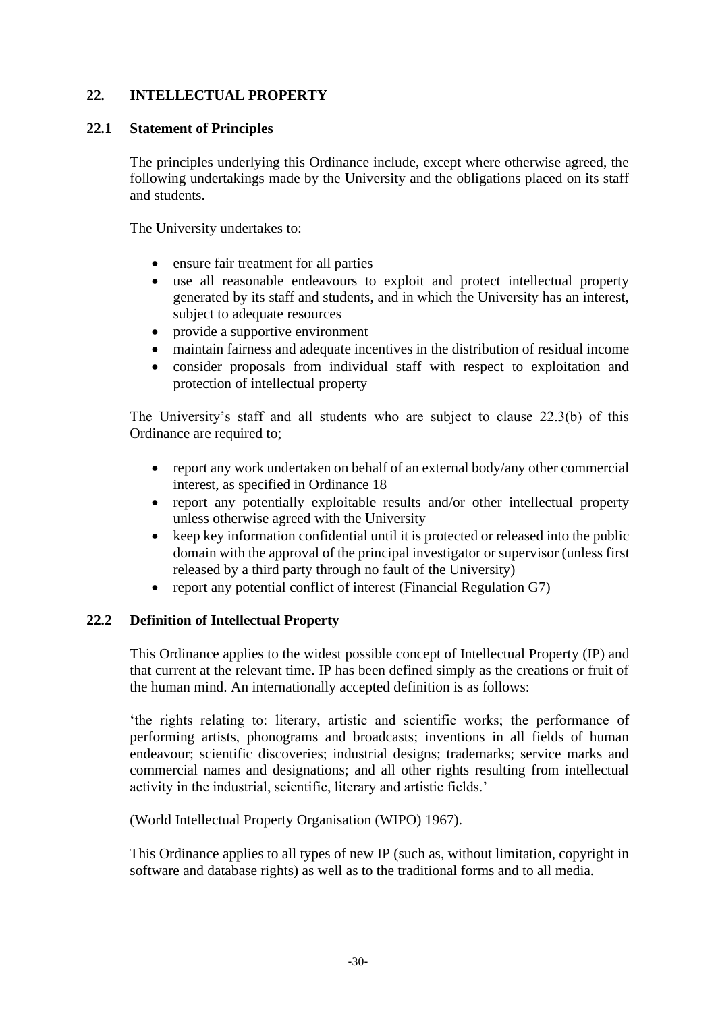# **22. INTELLECTUAL PROPERTY**

### **22.1 Statement of Principles**

The principles underlying this Ordinance include, except where otherwise agreed, the following undertakings made by the University and the obligations placed on its staff and students.

The University undertakes to:

- ensure fair treatment for all parties
- use all reasonable endeavours to exploit and protect intellectual property generated by its staff and students, and in which the University has an interest, subject to adequate resources
- provide a supportive environment
- maintain fairness and adequate incentives in the distribution of residual income
- consider proposals from individual staff with respect to exploitation and protection of intellectual property

The University's staff and all students who are subject to clause 22.3(b) of this Ordinance are required to;

- report any work undertaken on behalf of an external body/any other commercial interest, as specified in Ordinance 18
- report any potentially exploitable results and/or other intellectual property unless otherwise agreed with the University
- keep key information confidential until it is protected or released into the public domain with the approval of the principal investigator or supervisor (unless first released by a third party through no fault of the University)
- report any potential conflict of interest (Financial Regulation G7)

# **22.2 Definition of Intellectual Property**

This Ordinance applies to the widest possible concept of Intellectual Property (IP) and that current at the relevant time. IP has been defined simply as the creations or fruit of the human mind. An internationally accepted definition is as follows:

'the rights relating to: literary, artistic and scientific works; the performance of performing artists, phonograms and broadcasts; inventions in all fields of human endeavour; scientific discoveries; industrial designs; trademarks; service marks and commercial names and designations; and all other rights resulting from intellectual activity in the industrial, scientific, literary and artistic fields.'

(World Intellectual Property Organisation (WIPO) 1967).

This Ordinance applies to all types of new IP (such as, without limitation, copyright in software and database rights) as well as to the traditional forms and to all media.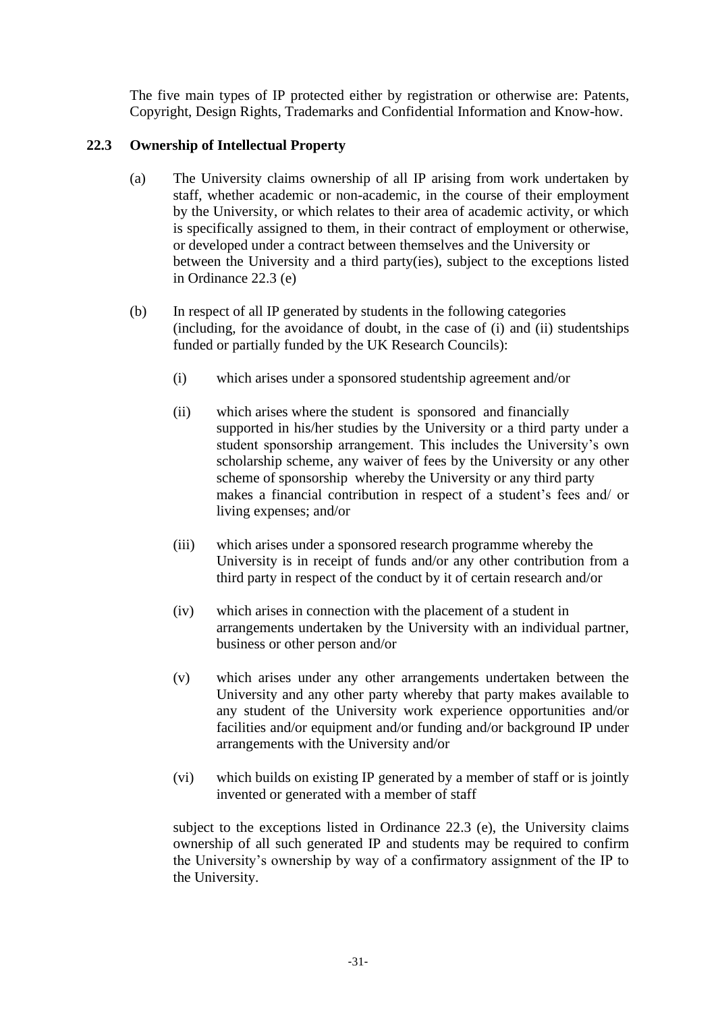The five main types of IP protected either by registration or otherwise are: Patents, Copyright, Design Rights, Trademarks and Confidential Information and Know-how.

# **22.3 Ownership of Intellectual Property**

- (a) The University claims ownership of all IP arising from work undertaken by staff, whether academic or non-academic, in the course of their employment by the University, or which relates to their area of academic activity, or which is specifically assigned to them, in their contract of employment or otherwise, or developed under a contract between themselves and the University or between the University and a third party(ies), subject to the exceptions listed in Ordinance 22.3 (e)
- (b) In respect of all IP generated by students in the following categories (including, for the avoidance of doubt, in the case of (i) and (ii) studentships funded or partially funded by the UK Research Councils):
	- (i) which arises under a sponsored studentship agreement and/or
	- (ii) which arises where the student is sponsored and financially supported in his/her studies by the University or a third party under a student sponsorship arrangement. This includes the University's own scholarship scheme, any waiver of fees by the University or any other scheme of sponsorship whereby the University or any third party makes a financial contribution in respect of a student's fees and/ or living expenses; and/or
	- (iii) which arises under a sponsored research programme whereby the University is in receipt of funds and/or any other contribution from a third party in respect of the conduct by it of certain research and/or
	- (iv) which arises in connection with the placement of a student in arrangements undertaken by the University with an individual partner, business or other person and/or
	- (v) which arises under any other arrangements undertaken between the University and any other party whereby that party makes available to any student of the University work experience opportunities and/or facilities and/or equipment and/or funding and/or background IP under arrangements with the University and/or
	- (vi) which builds on existing IP generated by a member of staff or is jointly invented or generated with a member of staff

subject to the exceptions listed in Ordinance 22.3 (e), the University claims ownership of all such generated IP and students may be required to confirm the University's ownership by way of a confirmatory assignment of the IP to the University.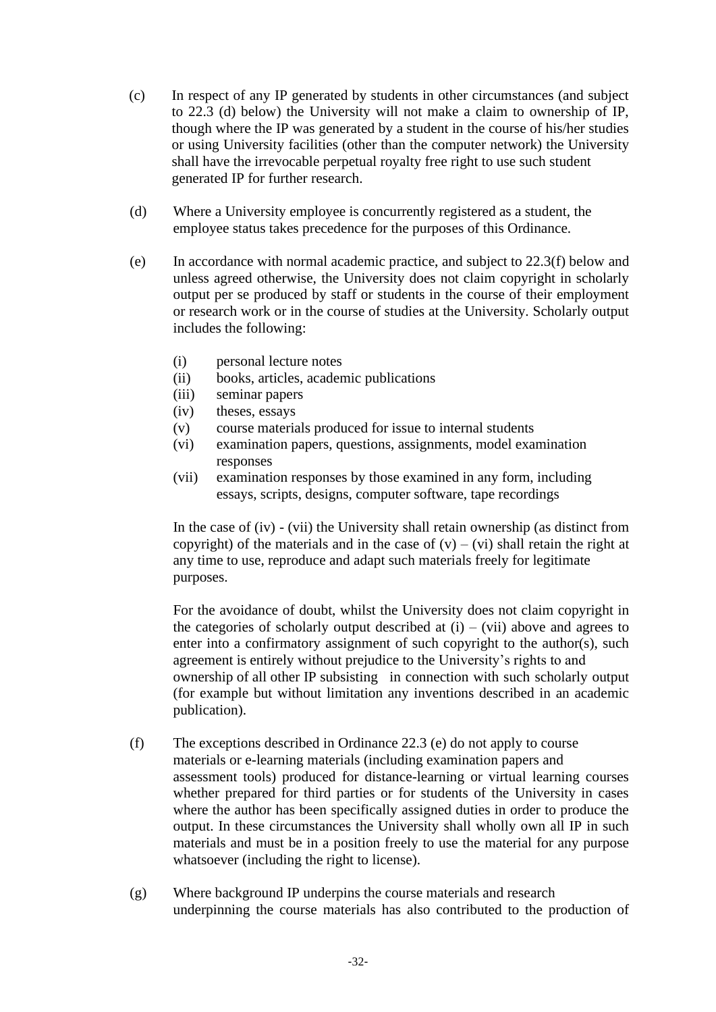- (c) In respect of any IP generated by students in other circumstances (and subject to 22.3 (d) below) the University will not make a claim to ownership of IP, though where the IP was generated by a student in the course of his/her studies or using University facilities (other than the computer network) the University shall have the irrevocable perpetual royalty free right to use such student generated IP for further research.
- (d) Where a University employee is concurrently registered as a student, the employee status takes precedence for the purposes of this Ordinance.
- (e) In accordance with normal academic practice, and subject to 22.3(f) below and unless agreed otherwise, the University does not claim copyright in scholarly output per se produced by staff or students in the course of their employment or research work or in the course of studies at the University. Scholarly output includes the following:
	- (i) personal lecture notes
	- (ii) books, articles, academic publications
	- (iii) seminar papers
	- (iv) theses, essays
	- (v) course materials produced for issue to internal students
	- (vi) examination papers, questions, assignments, model examination responses
	- (vii) examination responses by those examined in any form, including essays, scripts, designs, computer software, tape recordings

In the case of (iv) - (vii) the University shall retain ownership (as distinct from copyright) of the materials and in the case of  $(v) - (vi)$  shall retain the right at any time to use, reproduce and adapt such materials freely for legitimate purposes.

For the avoidance of doubt, whilst the University does not claim copyright in the categories of scholarly output described at  $(i) - (vii)$  above and agrees to enter into a confirmatory assignment of such copyright to the author(s), such agreement is entirely without prejudice to the University's rights to and ownership of all other IP subsisting in connection with such scholarly output (for example but without limitation any inventions described in an academic publication).

- (f) The exceptions described in Ordinance 22.3 (e) do not apply to course materials or e-learning materials (including examination papers and assessment tools) produced for distance-learning or virtual learning courses whether prepared for third parties or for students of the University in cases where the author has been specifically assigned duties in order to produce the output. In these circumstances the University shall wholly own all IP in such materials and must be in a position freely to use the material for any purpose whatsoever (including the right to license).
- (g) Where background IP underpins the course materials and research underpinning the course materials has also contributed to the production of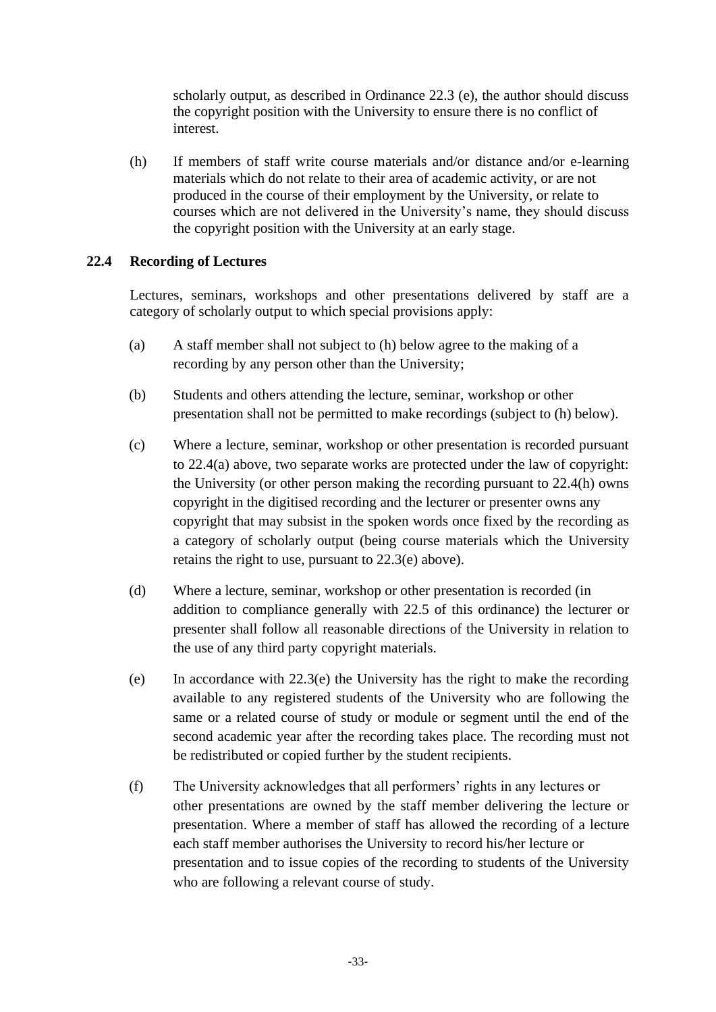scholarly output, as described in Ordinance 22.3 (e), the author should discuss the copyright position with the University to ensure there is no conflict of interest.

(h) If members of staff write course materials and/or distance and/or e-learning materials which do not relate to their area of academic activity, or are not produced in the course of their employment by the University, or relate to courses which are not delivered in the University's name, they should discuss the copyright position with the University at an early stage.

### **22.4 Recording of Lectures**

Lectures, seminars, workshops and other presentations delivered by staff are a category of scholarly output to which special provisions apply:

- (a) A staff member shall not subject to (h) below agree to the making of a recording by any person other than the University;
- (b) Students and others attending the lecture, seminar, workshop or other presentation shall not be permitted to make recordings (subject to (h) below).
- (c) Where a lecture, seminar, workshop or other presentation is recorded pursuant to 22.4(a) above, two separate works are protected under the law of copyright: the University (or other person making the recording pursuant to 22.4(h) owns copyright in the digitised recording and the lecturer or presenter owns any copyright that may subsist in the spoken words once fixed by the recording as a category of scholarly output (being course materials which the University retains the right to use, pursuant to 22.3(e) above).
- (d) Where a lecture, seminar, workshop or other presentation is recorded (in addition to compliance generally with 22.5 of this ordinance) the lecturer or presenter shall follow all reasonable directions of the University in relation to the use of any third party copyright materials.
- (e) In accordance with  $22.3(e)$  the University has the right to make the recording available to any registered students of the University who are following the same or a related course of study or module or segment until the end of the second academic year after the recording takes place. The recording must not be redistributed or copied further by the student recipients.
- (f) The University acknowledges that all performers' rights in any lectures or other presentations are owned by the staff member delivering the lecture or presentation. Where a member of staff has allowed the recording of a lecture each staff member authorises the University to record his/her lecture or presentation and to issue copies of the recording to students of the University who are following a relevant course of study.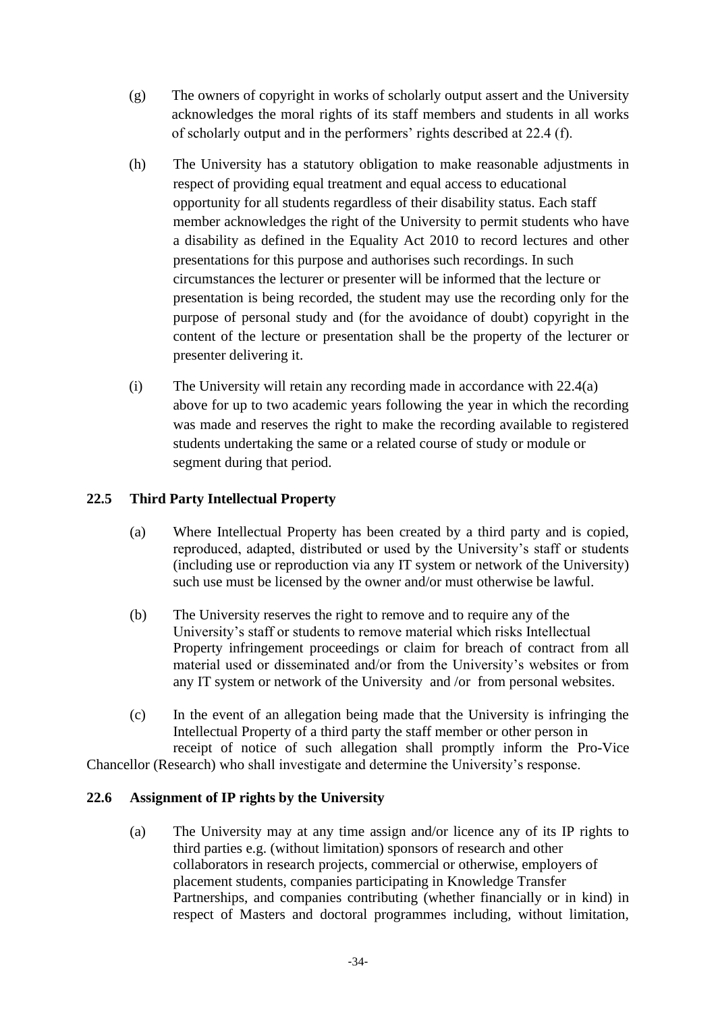- (g) The owners of copyright in works of scholarly output assert and the University acknowledges the moral rights of its staff members and students in all works of scholarly output and in the performers' rights described at 22.4 (f).
- (h) The University has a statutory obligation to make reasonable adjustments in respect of providing equal treatment and equal access to educational opportunity for all students regardless of their disability status. Each staff member acknowledges the right of the University to permit students who have a disability as defined in the Equality Act 2010 to record lectures and other presentations for this purpose and authorises such recordings. In such circumstances the lecturer or presenter will be informed that the lecture or presentation is being recorded, the student may use the recording only for the purpose of personal study and (for the avoidance of doubt) copyright in the content of the lecture or presentation shall be the property of the lecturer or presenter delivering it.
- (i) The University will retain any recording made in accordance with 22.4(a) above for up to two academic years following the year in which the recording was made and reserves the right to make the recording available to registered students undertaking the same or a related course of study or module or segment during that period.

# **22.5 Third Party Intellectual Property**

- (a) Where Intellectual Property has been created by a third party and is copied, reproduced, adapted, distributed or used by the University's staff or students (including use or reproduction via any IT system or network of the University) such use must be licensed by the owner and/or must otherwise be lawful.
- (b) The University reserves the right to remove and to require any of the University's staff or students to remove material which risks Intellectual Property infringement proceedings or claim for breach of contract from all material used or disseminated and/or from the University's websites or from any IT system or network of the University and /or from personal websites.
- (c) In the event of an allegation being made that the University is infringing the Intellectual Property of a third party the staff member or other person in receipt of notice of such allegation shall promptly inform the Pro-Vice Chancellor (Research) who shall investigate and determine the University's response.

# **22.6 Assignment of IP rights by the University**

(a) The University may at any time assign and/or licence any of its IP rights to third parties e.g. (without limitation) sponsors of research and other collaborators in research projects, commercial or otherwise, employers of placement students, companies participating in Knowledge Transfer Partnerships, and companies contributing (whether financially or in kind) in respect of Masters and doctoral programmes including, without limitation,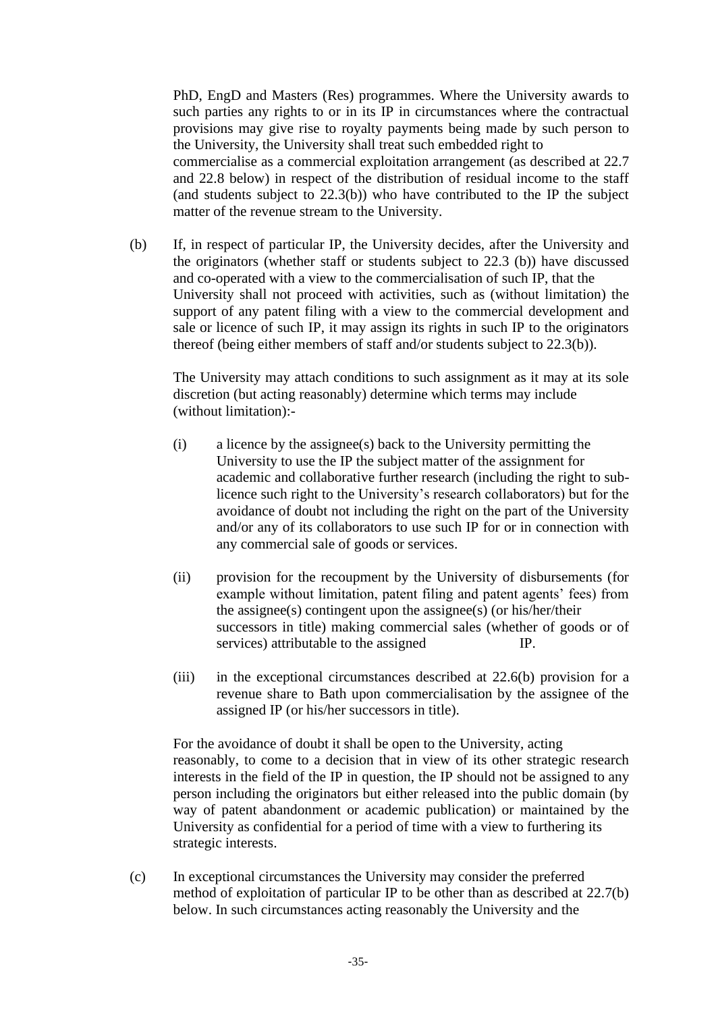PhD, EngD and Masters (Res) programmes. Where the University awards to such parties any rights to or in its IP in circumstances where the contractual provisions may give rise to royalty payments being made by such person to the University, the University shall treat such embedded right to commercialise as a commercial exploitation arrangement (as described at 22.7 and 22.8 below) in respect of the distribution of residual income to the staff (and students subject to 22.3(b)) who have contributed to the IP the subject matter of the revenue stream to the University.

(b) If, in respect of particular IP, the University decides, after the University and the originators (whether staff or students subject to 22.3 (b)) have discussed and co-operated with a view to the commercialisation of such IP, that the University shall not proceed with activities, such as (without limitation) the support of any patent filing with a view to the commercial development and sale or licence of such IP, it may assign its rights in such IP to the originators thereof (being either members of staff and/or students subject to 22.3(b)).

The University may attach conditions to such assignment as it may at its sole discretion (but acting reasonably) determine which terms may include (without limitation):-

- (i) a licence by the assignee(s) back to the University permitting the University to use the IP the subject matter of the assignment for academic and collaborative further research (including the right to sublicence such right to the University's research collaborators) but for the avoidance of doubt not including the right on the part of the University and/or any of its collaborators to use such IP for or in connection with any commercial sale of goods or services.
- (ii) provision for the recoupment by the University of disbursements (for example without limitation, patent filing and patent agents' fees) from the assignee(s) contingent upon the assignee(s) (or his/her/their successors in title) making commercial sales (whether of goods or of services) attributable to the assigned IP.
- (iii) in the exceptional circumstances described at 22.6(b) provision for a revenue share to Bath upon commercialisation by the assignee of the assigned IP (or his/her successors in title).

For the avoidance of doubt it shall be open to the University, acting reasonably, to come to a decision that in view of its other strategic research interests in the field of the IP in question, the IP should not be assigned to any person including the originators but either released into the public domain (by way of patent abandonment or academic publication) or maintained by the University as confidential for a period of time with a view to furthering its strategic interests.

(c) In exceptional circumstances the University may consider the preferred method of exploitation of particular IP to be other than as described at 22.7(b) below. In such circumstances acting reasonably the University and the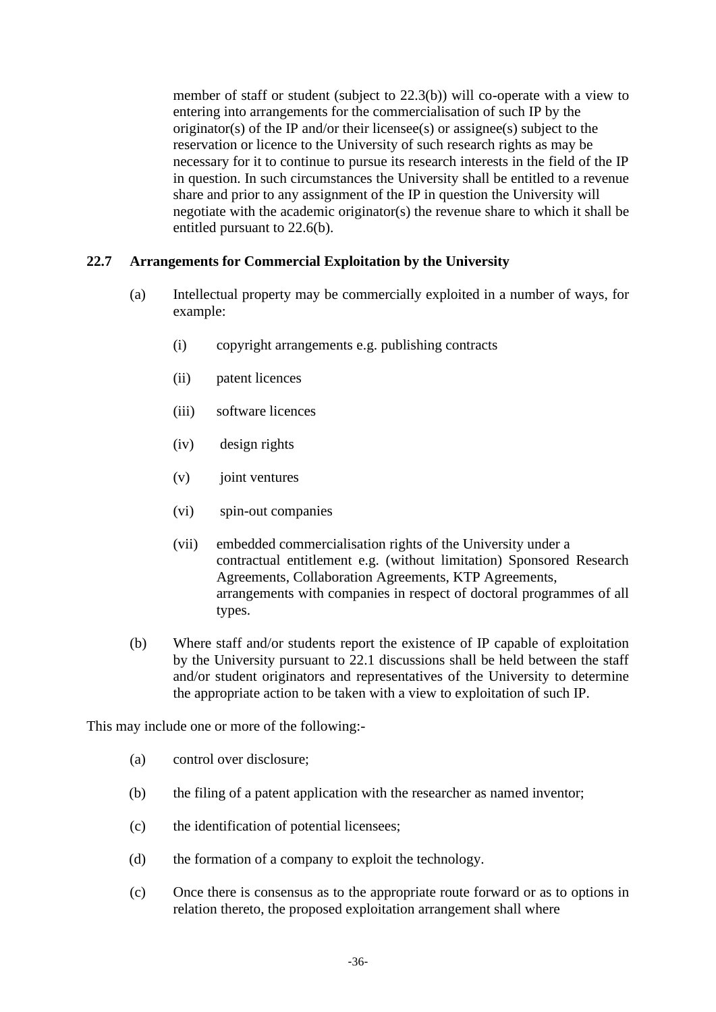member of staff or student (subject to 22.3(b)) will co-operate with a view to entering into arrangements for the commercialisation of such IP by the originator(s) of the IP and/or their licensee(s) or assignee(s) subject to the reservation or licence to the University of such research rights as may be necessary for it to continue to pursue its research interests in the field of the IP in question. In such circumstances the University shall be entitled to a revenue share and prior to any assignment of the IP in question the University will negotiate with the academic originator(s) the revenue share to which it shall be entitled pursuant to 22.6(b).

### **22.7 Arrangements for Commercial Exploitation by the University**

- (a) Intellectual property may be commercially exploited in a number of ways, for example:
	- (i) copyright arrangements e.g. publishing contracts
	- (ii) patent licences
	- (iii) software licences
	- (iv) design rights
	- (v) joint ventures
	- (vi) spin-out companies
	- (vii) embedded commercialisation rights of the University under a contractual entitlement e.g. (without limitation) Sponsored Research Agreements, Collaboration Agreements, KTP Agreements, arrangements with companies in respect of doctoral programmes of all types.
- (b) Where staff and/or students report the existence of IP capable of exploitation by the University pursuant to 22.1 discussions shall be held between the staff and/or student originators and representatives of the University to determine the appropriate action to be taken with a view to exploitation of such IP.

This may include one or more of the following:-

- (a) control over disclosure;
- (b) the filing of a patent application with the researcher as named inventor;
- (c) the identification of potential licensees;
- (d) the formation of a company to exploit the technology.
- (c) Once there is consensus as to the appropriate route forward or as to options in relation thereto, the proposed exploitation arrangement shall where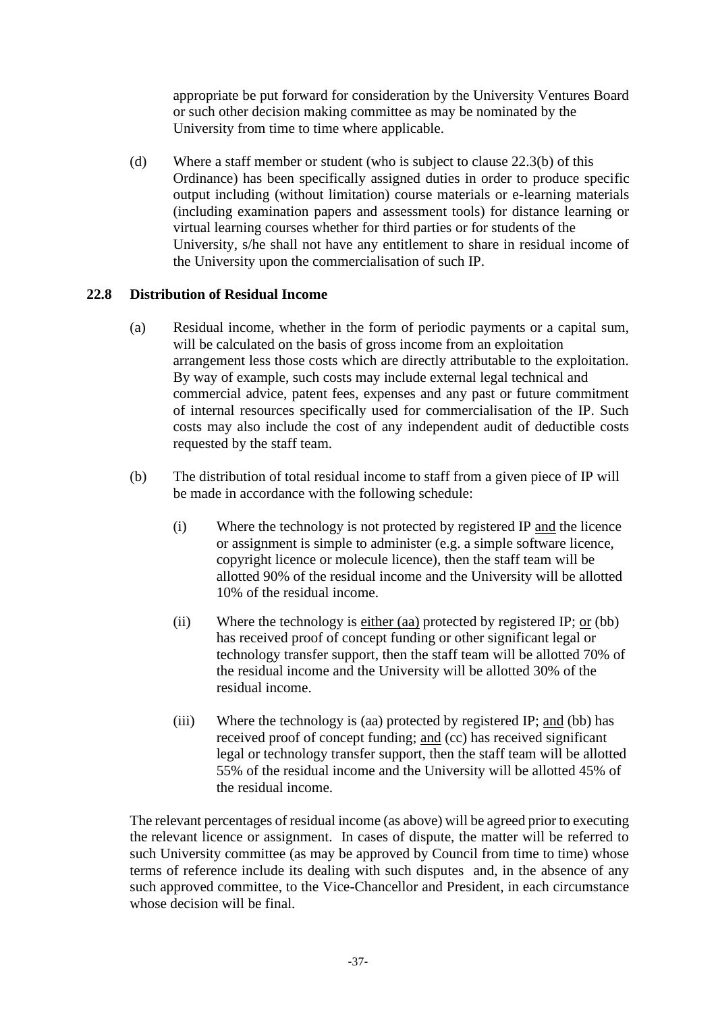appropriate be put forward for consideration by the University Ventures Board or such other decision making committee as may be nominated by the University from time to time where applicable.

(d) Where a staff member or student (who is subject to clause 22.3(b) of this Ordinance) has been specifically assigned duties in order to produce specific output including (without limitation) course materials or e-learning materials (including examination papers and assessment tools) for distance learning or virtual learning courses whether for third parties or for students of the University, s/he shall not have any entitlement to share in residual income of the University upon the commercialisation of such IP.

### **22.8 Distribution of Residual Income**

- (a) Residual income, whether in the form of periodic payments or a capital sum, will be calculated on the basis of gross income from an exploitation arrangement less those costs which are directly attributable to the exploitation. By way of example, such costs may include external legal technical and commercial advice, patent fees, expenses and any past or future commitment of internal resources specifically used for commercialisation of the IP. Such costs may also include the cost of any independent audit of deductible costs requested by the staff team.
- (b) The distribution of total residual income to staff from a given piece of IP will be made in accordance with the following schedule:
	- (i) Where the technology is not protected by registered IP and the licence or assignment is simple to administer (e.g. a simple software licence, copyright licence or molecule licence), then the staff team will be allotted 90% of the residual income and the University will be allotted 10% of the residual income.
	- (ii) Where the technology is either (aa) protected by registered IP;  $or$  (bb)</u> has received proof of concept funding or other significant legal or technology transfer support, then the staff team will be allotted 70% of the residual income and the University will be allotted 30% of the residual income.
	- (iii) Where the technology is (aa) protected by registered IP; and (bb) has received proof of concept funding; and (cc) has received significant legal or technology transfer support, then the staff team will be allotted 55% of the residual income and the University will be allotted 45% of the residual income.

The relevant percentages of residual income (as above) will be agreed prior to executing the relevant licence or assignment. In cases of dispute, the matter will be referred to such University committee (as may be approved by Council from time to time) whose terms of reference include its dealing with such disputes and, in the absence of any such approved committee, to the Vice-Chancellor and President, in each circumstance whose decision will be final.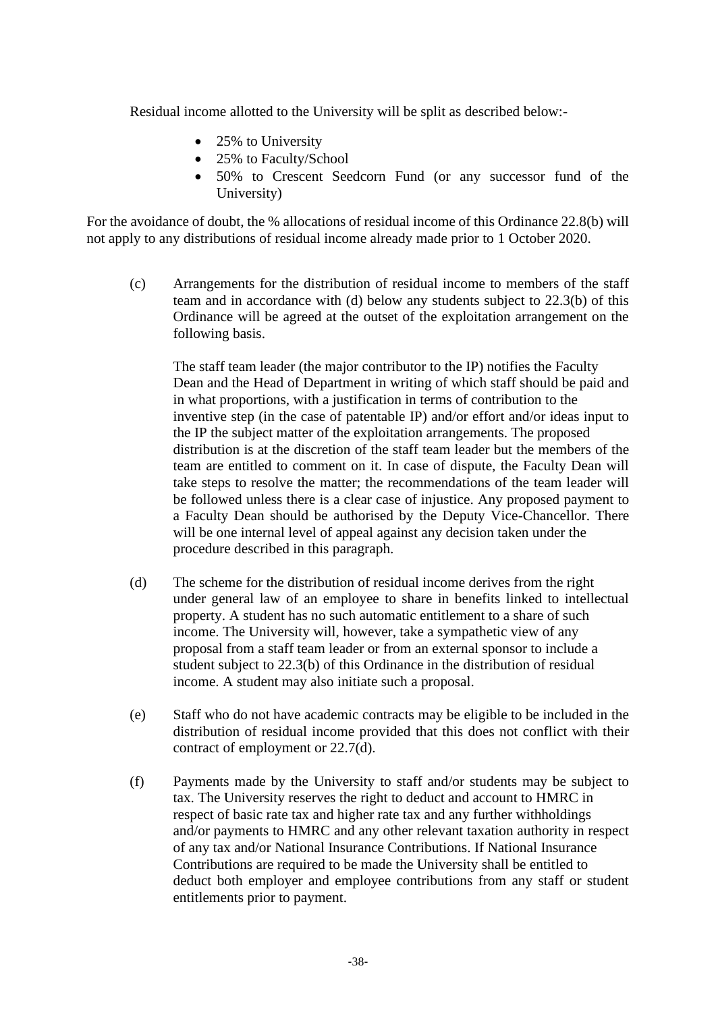Residual income allotted to the University will be split as described below:-

- 25% to University
- 25% to Faculty/School
- 50% to Crescent Seedcorn Fund (or any successor fund of the University)

For the avoidance of doubt, the % allocations of residual income of this Ordinance 22.8(b) will not apply to any distributions of residual income already made prior to 1 October 2020.

(c) Arrangements for the distribution of residual income to members of the staff team and in accordance with (d) below any students subject to 22.3(b) of this Ordinance will be agreed at the outset of the exploitation arrangement on the following basis.

The staff team leader (the major contributor to the IP) notifies the Faculty Dean and the Head of Department in writing of which staff should be paid and in what proportions, with a justification in terms of contribution to the inventive step (in the case of patentable IP) and/or effort and/or ideas input to the IP the subject matter of the exploitation arrangements. The proposed distribution is at the discretion of the staff team leader but the members of the team are entitled to comment on it. In case of dispute, the Faculty Dean will take steps to resolve the matter; the recommendations of the team leader will be followed unless there is a clear case of injustice. Any proposed payment to a Faculty Dean should be authorised by the Deputy Vice-Chancellor. There will be one internal level of appeal against any decision taken under the procedure described in this paragraph.

- (d) The scheme for the distribution of residual income derives from the right under general law of an employee to share in benefits linked to intellectual property. A student has no such automatic entitlement to a share of such income. The University will, however, take a sympathetic view of any proposal from a staff team leader or from an external sponsor to include a student subject to 22.3(b) of this Ordinance in the distribution of residual income. A student may also initiate such a proposal.
- (e) Staff who do not have academic contracts may be eligible to be included in the distribution of residual income provided that this does not conflict with their contract of employment or 22.7(d).
- (f) Payments made by the University to staff and/or students may be subject to tax. The University reserves the right to deduct and account to HMRC in respect of basic rate tax and higher rate tax and any further withholdings and/or payments to HMRC and any other relevant taxation authority in respect of any tax and/or National Insurance Contributions. If National Insurance Contributions are required to be made the University shall be entitled to deduct both employer and employee contributions from any staff or student entitlements prior to payment.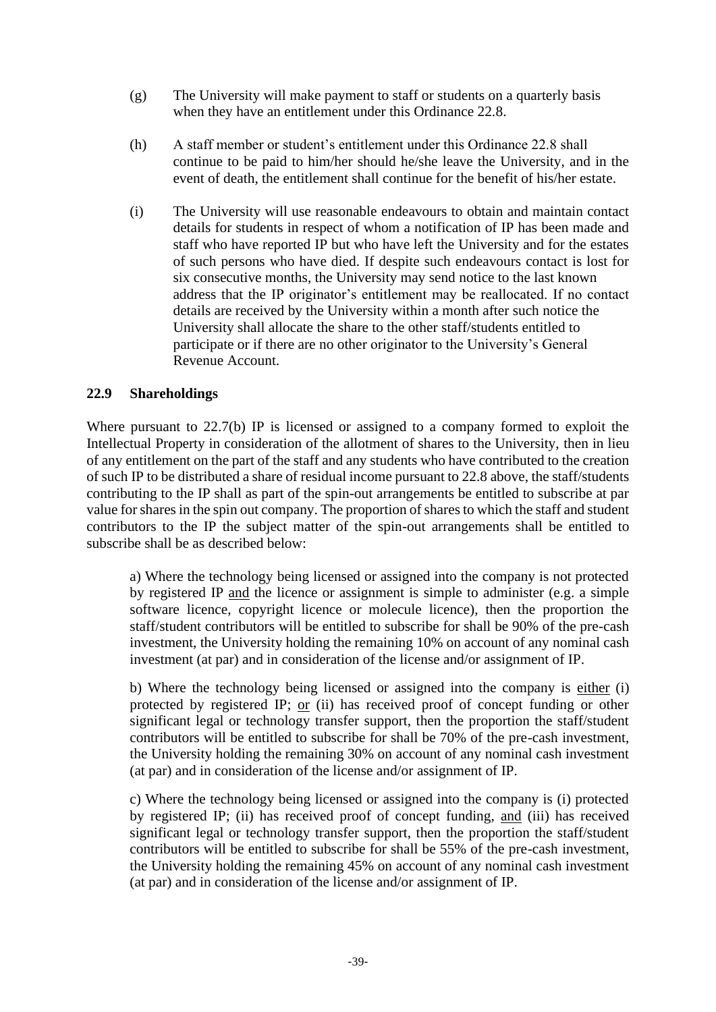- (g) The University will make payment to staff or students on a quarterly basis when they have an entitlement under this Ordinance 22.8.
- (h) A staff member or student's entitlement under this Ordinance 22.8 shall continue to be paid to him/her should he/she leave the University, and in the event of death, the entitlement shall continue for the benefit of his/her estate.
- (i) The University will use reasonable endeavours to obtain and maintain contact details for students in respect of whom a notification of IP has been made and staff who have reported IP but who have left the University and for the estates of such persons who have died. If despite such endeavours contact is lost for six consecutive months, the University may send notice to the last known address that the IP originator's entitlement may be reallocated. If no contact details are received by the University within a month after such notice the University shall allocate the share to the other staff/students entitled to participate or if there are no other originator to the University's General Revenue Account.

### **22.9 Shareholdings**

Where pursuant to 22.7(b) IP is licensed or assigned to a company formed to exploit the Intellectual Property in consideration of the allotment of shares to the University, then in lieu of any entitlement on the part of the staff and any students who have contributed to the creation of such IP to be distributed a share of residual income pursuant to 22.8 above, the staff/students contributing to the IP shall as part of the spin-out arrangements be entitled to subscribe at par value for shares in the spin out company. The proportion of shares to which the staff and student contributors to the IP the subject matter of the spin-out arrangements shall be entitled to subscribe shall be as described below:

a) Where the technology being licensed or assigned into the company is not protected by registered IP and the licence or assignment is simple to administer (e.g. a simple software licence, copyright licence or molecule licence), then the proportion the staff/student contributors will be entitled to subscribe for shall be 90% of the pre-cash investment, the University holding the remaining 10% on account of any nominal cash investment (at par) and in consideration of the license and/or assignment of IP.

b) Where the technology being licensed or assigned into the company is either (i) protected by registered IP; or (ii) has received proof of concept funding or other significant legal or technology transfer support, then the proportion the staff/student contributors will be entitled to subscribe for shall be 70% of the pre-cash investment, the University holding the remaining 30% on account of any nominal cash investment (at par) and in consideration of the license and/or assignment of IP.

c) Where the technology being licensed or assigned into the company is (i) protected by registered IP; (ii) has received proof of concept funding, and (iii) has received significant legal or technology transfer support, then the proportion the staff/student contributors will be entitled to subscribe for shall be 55% of the pre-cash investment, the University holding the remaining 45% on account of any nominal cash investment (at par) and in consideration of the license and/or assignment of IP.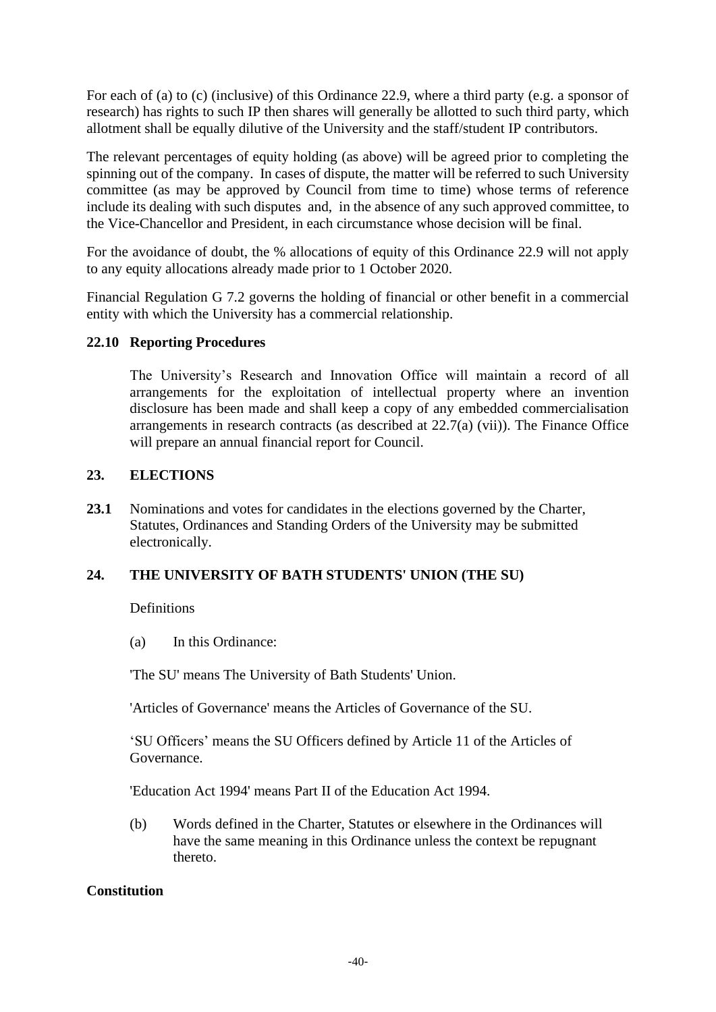For each of (a) to (c) (inclusive) of this Ordinance 22.9, where a third party (e.g. a sponsor of research) has rights to such IP then shares will generally be allotted to such third party, which allotment shall be equally dilutive of the University and the staff/student IP contributors.

The relevant percentages of equity holding (as above) will be agreed prior to completing the spinning out of the company. In cases of dispute, the matter will be referred to such University committee (as may be approved by Council from time to time) whose terms of reference include its dealing with such disputes and, in the absence of any such approved committee, to the Vice-Chancellor and President, in each circumstance whose decision will be final.

For the avoidance of doubt, the % allocations of equity of this Ordinance 22.9 will not apply to any equity allocations already made prior to 1 October 2020.

Financial Regulation G 7.2 governs the holding of financial or other benefit in a commercial entity with which the University has a commercial relationship.

### **22.10 Reporting Procedures**

The University's Research and Innovation Office will maintain a record of all arrangements for the exploitation of intellectual property where an invention disclosure has been made and shall keep a copy of any embedded commercialisation arrangements in research contracts (as described at 22.7(a) (vii)). The Finance Office will prepare an annual financial report for Council.

### **23. ELECTIONS**

**23.1** Nominations and votes for candidates in the elections governed by the Charter, Statutes, Ordinances and Standing Orders of the University may be submitted electronically.

# **24. THE UNIVERSITY OF BATH STUDENTS' UNION (THE SU)**

**Definitions** 

(a) In this Ordinance:

'The SU' means The University of Bath Students' Union.

'Articles of Governance' means the Articles of Governance of the SU.

'SU Officers' means the SU Officers defined by Article 11 of the Articles of Governance.

'Education Act 1994' means Part II of the Education Act 1994.

(b) Words defined in the Charter, Statutes or elsewhere in the Ordinances will have the same meaning in this Ordinance unless the context be repugnant thereto.

# **Constitution**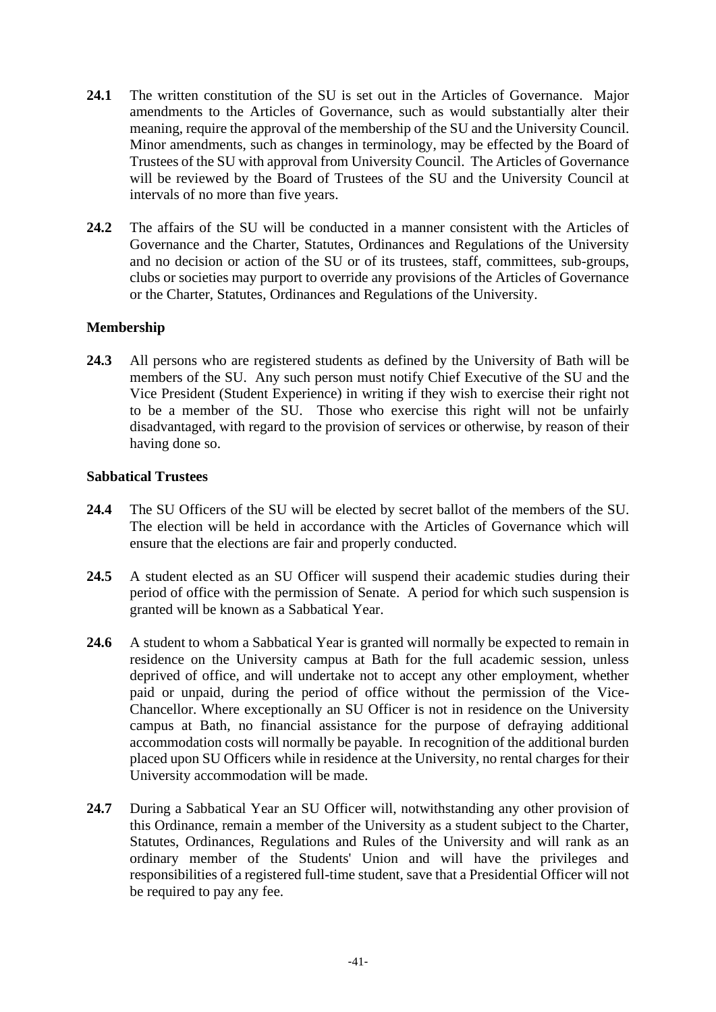- **24.1** The written constitution of the SU is set out in the Articles of Governance. Major amendments to the Articles of Governance, such as would substantially alter their meaning, require the approval of the membership of the SU and the University Council. Minor amendments, such as changes in terminology, may be effected by the Board of Trustees of the SU with approval from University Council. The Articles of Governance will be reviewed by the Board of Trustees of the SU and the University Council at intervals of no more than five years.
- **24.2** The affairs of the SU will be conducted in a manner consistent with the Articles of Governance and the Charter, Statutes, Ordinances and Regulations of the University and no decision or action of the SU or of its trustees, staff, committees, sub-groups, clubs or societies may purport to override any provisions of the Articles of Governance or the Charter, Statutes, Ordinances and Regulations of the University.

# **Membership**

**24.3** All persons who are registered students as defined by the University of Bath will be members of the SU. Any such person must notify Chief Executive of the SU and the Vice President (Student Experience) in writing if they wish to exercise their right not to be a member of the SU. Those who exercise this right will not be unfairly disadvantaged, with regard to the provision of services or otherwise, by reason of their having done so.

#### **Sabbatical Trustees**

- **24.4** The SU Officers of the SU will be elected by secret ballot of the members of the SU. The election will be held in accordance with the Articles of Governance which will ensure that the elections are fair and properly conducted.
- 24.5 A student elected as an SU Officer will suspend their academic studies during their period of office with the permission of Senate. A period for which such suspension is granted will be known as a Sabbatical Year.
- **24.6** A student to whom a Sabbatical Year is granted will normally be expected to remain in residence on the University campus at Bath for the full academic session, unless deprived of office, and will undertake not to accept any other employment, whether paid or unpaid, during the period of office without the permission of the Vice-Chancellor. Where exceptionally an SU Officer is not in residence on the University campus at Bath, no financial assistance for the purpose of defraying additional accommodation costs will normally be payable. In recognition of the additional burden placed upon SU Officers while in residence at the University, no rental charges for their University accommodation will be made.
- **24.7** During a Sabbatical Year an SU Officer will, notwithstanding any other provision of this Ordinance, remain a member of the University as a student subject to the Charter, Statutes, Ordinances, Regulations and Rules of the University and will rank as an ordinary member of the Students' Union and will have the privileges and responsibilities of a registered full-time student, save that a Presidential Officer will not be required to pay any fee.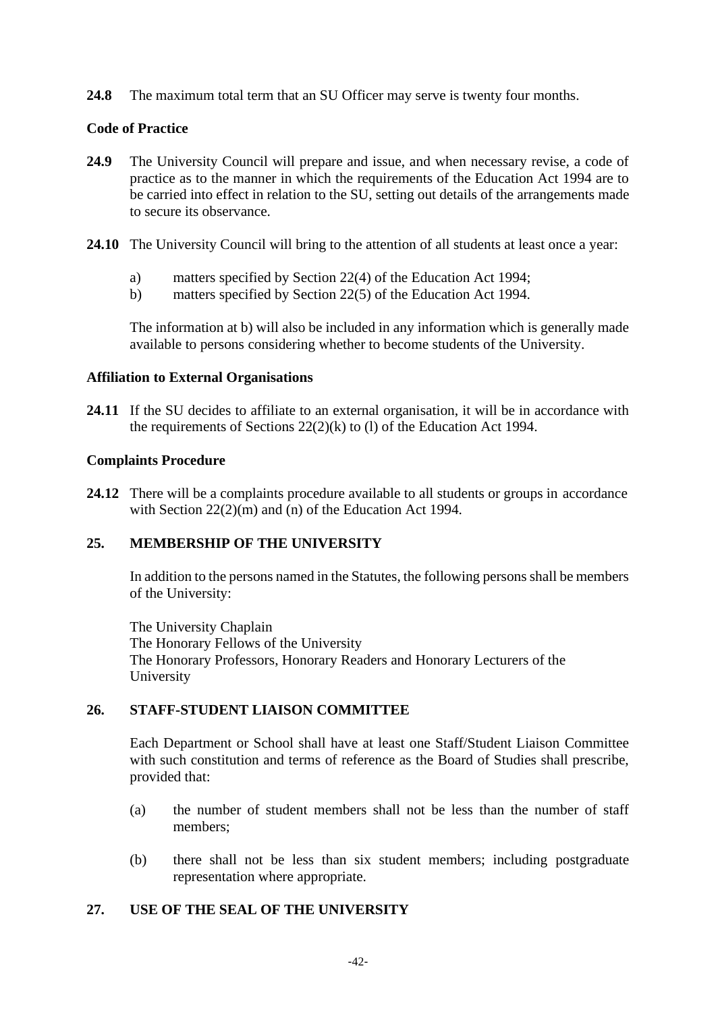**24.8** The maximum total term that an SU Officer may serve is twenty four months.

### **Code of Practice**

- **24.9** The University Council will prepare and issue, and when necessary revise, a code of practice as to the manner in which the requirements of the Education Act 1994 are to be carried into effect in relation to the SU, setting out details of the arrangements made to secure its observance.
- **24.10** The University Council will bring to the attention of all students at least once a year:
	- a) matters specified by Section 22(4) of the Education Act 1994;
	- b) matters specified by Section 22(5) of the Education Act 1994.

The information at b) will also be included in any information which is generally made available to persons considering whether to become students of the University.

#### **Affiliation to External Organisations**

**24.11** If the SU decides to affiliate to an external organisation, it will be in accordance with the requirements of Sections 22(2)(k) to (l) of the Education Act 1994.

### **Complaints Procedure**

24.12 There will be a complaints procedure available to all students or groups in accordance with Section 22(2)(m) and (n) of the Education Act 1994.

# **25. MEMBERSHIP OF THE UNIVERSITY**

In addition to the persons named in the Statutes, the following persons shall be members of the University:

The University Chaplain The Honorary Fellows of the University The Honorary Professors, Honorary Readers and Honorary Lecturers of the University

# **26. STAFF-STUDENT LIAISON COMMITTEE**

Each Department or School shall have at least one Staff/Student Liaison Committee with such constitution and terms of reference as the Board of Studies shall prescribe, provided that:

- (a) the number of student members shall not be less than the number of staff members;
- (b) there shall not be less than six student members; including postgraduate representation where appropriate.

# **27. USE OF THE SEAL OF THE UNIVERSITY**